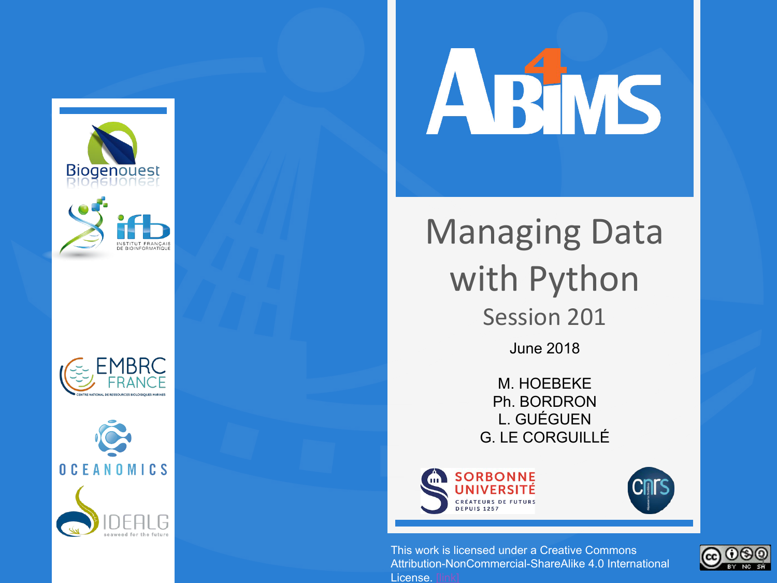









## Managing Data with Python Session 201 June 2018

M. HOEBEKE Ph. BORDRON L. GUÉGUEN G. LE CORGUILLÉ



License.

This work is licensed under a Creative Commons Attribution-NonCommercial-ShareAlike 4.0 International

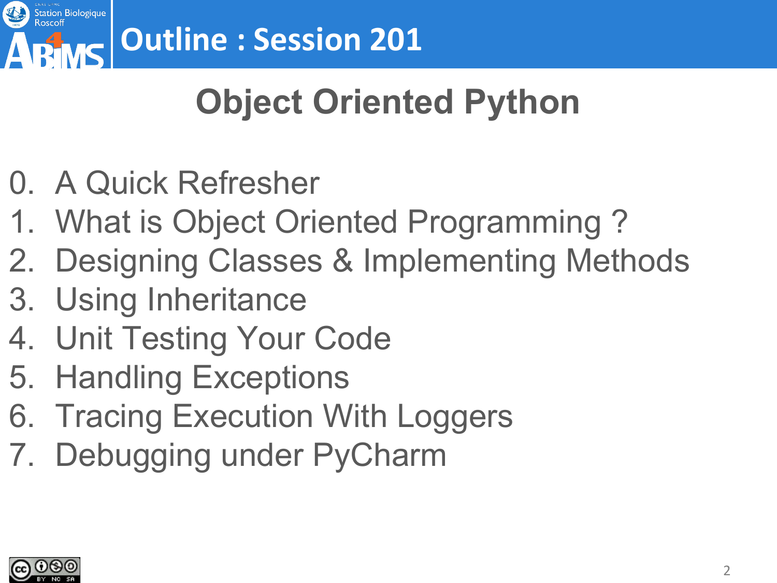

# **Object Oriented Python**

- 0. A Quick Refresher
- 1. What is Object Oriented Programming ?
- 2. Designing Classes & Implementing Methods
- 3. Using Inheritance
- 4. Unit Testing Your Code
- 5. Handling Exceptions
- 6. Tracing Execution With Loggers
- 7. Debugging under PyCharm

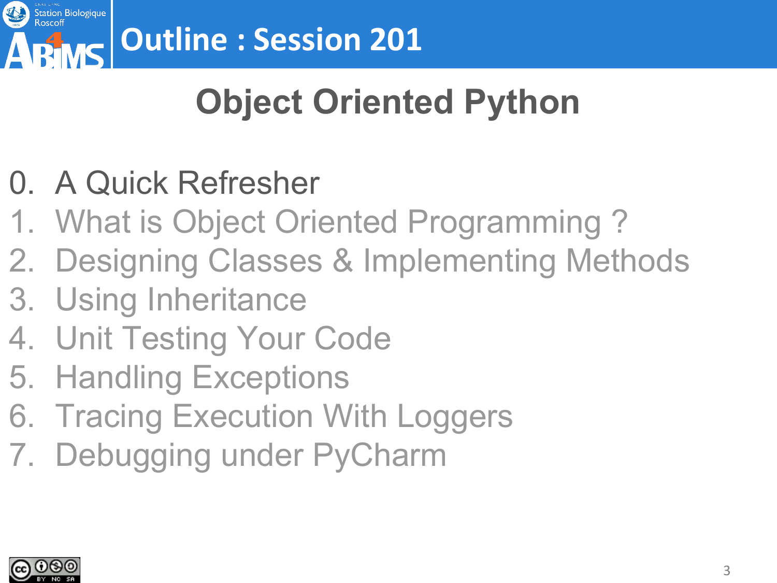

# **Object Oriented Python**

- 0. A Quick Refresher
- 1. What is Object Oriented Programming ?
- 2. Designing Classes & Implementing Methods
- 3. Using Inheritance
- 4. Unit Testing Your Code
- 5. Handling Exceptions
- 6. Tracing Execution With Loggers
- 7. Debugging under PyCharm

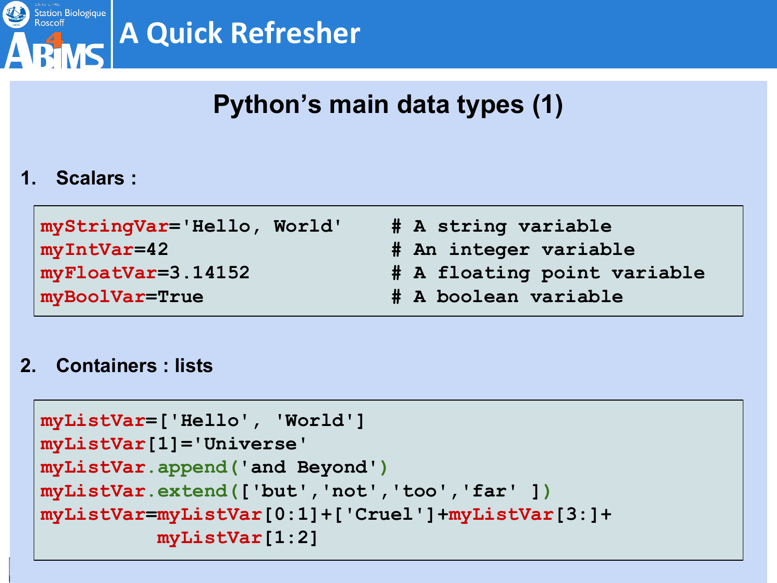

### **Python's main data types (1)**

#### **1. Scalars :**

| myStringVar='Hello, World'             | # A string variable         |
|----------------------------------------|-----------------------------|
| myIntVar=42                            | # An integer variable       |
| $\sqrt{myr}$ loat $\sqrt{Var}=3.14152$ | # A floating point variable |
| myBoolVar=True                         | # A boolean variable        |

#### **2. Containers : lists**

```
myListVar=['Hello', 'World']
myListVar[1]='Universe'
myListVar.append('and Beyond')
myListVar.extend(['but','not','too','far' ])
myListVar=myListVar[0:1]+['Cruel']+myListVar[3:]+
          myListVar[1:2]
```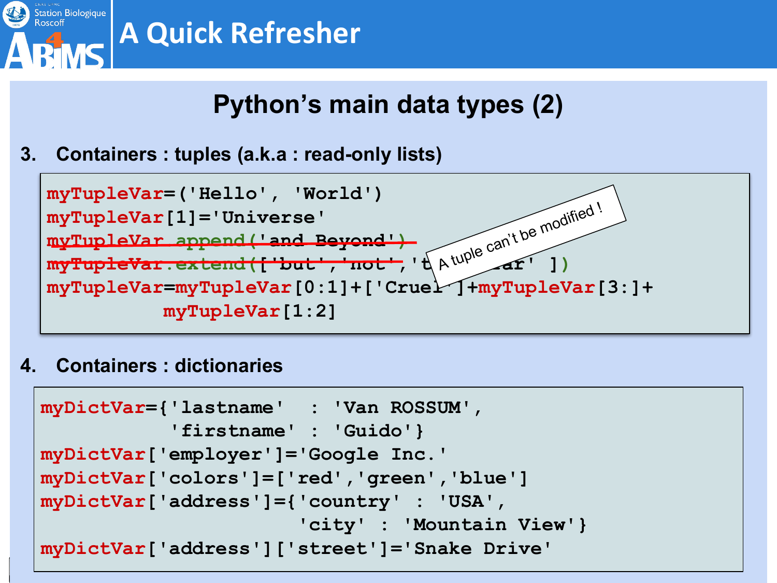

### **Python's main data types (2)**

**3. Containers : tuples (a.k.a : read-only lists)**



**4. Containers : dictionaries**

```
myDictVar={'lastname' : 'Van ROSSUM', 
            'firstname' : 'Guido'}
myDictVar['employer']='Google Inc.'
myDictVar['colors']=['red','green','blue']
myDictVar['address']={'country' : 'USA',
                        'city' : 'Mountain View'}
myDictVar['address']['street']='Snake Drive'
```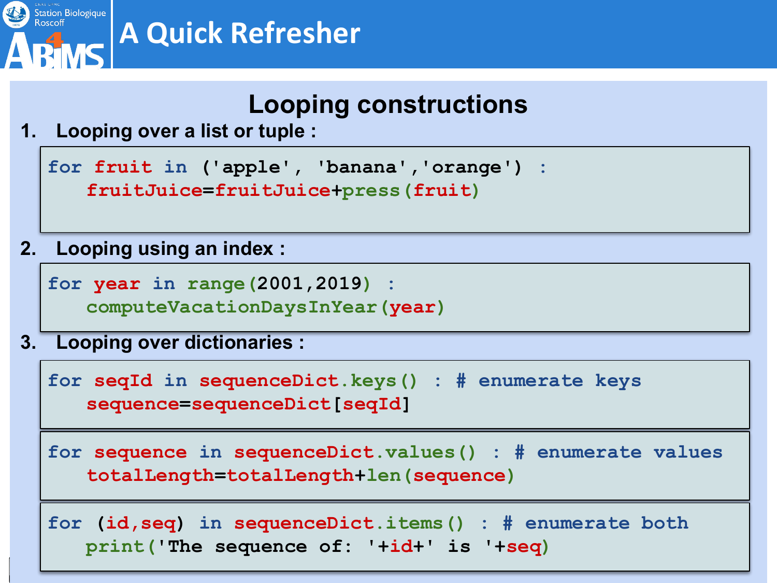

#### **Looping constructions**

**1. Looping over a list or tuple :**

**for fruit in ('apple', 'banana','orange') : fruitJuice=fruitJuice+press(fruit)**

**2. Looping using an index :**

**for year in range(2001,2019) : computeVacationDaysInYear(year)**

**3. Looping over dictionaries :**

**for seqId in sequenceDict.keys() : # enumerate keys sequence=sequenceDict[seqId]**

**for sequence in sequenceDict.values() : # enumerate values totalLength=totalLength+len(sequence)**

**for (id,seq) in sequenceDict.items() : # enumerate both print('The sequence of: '+id+' is '+seq)**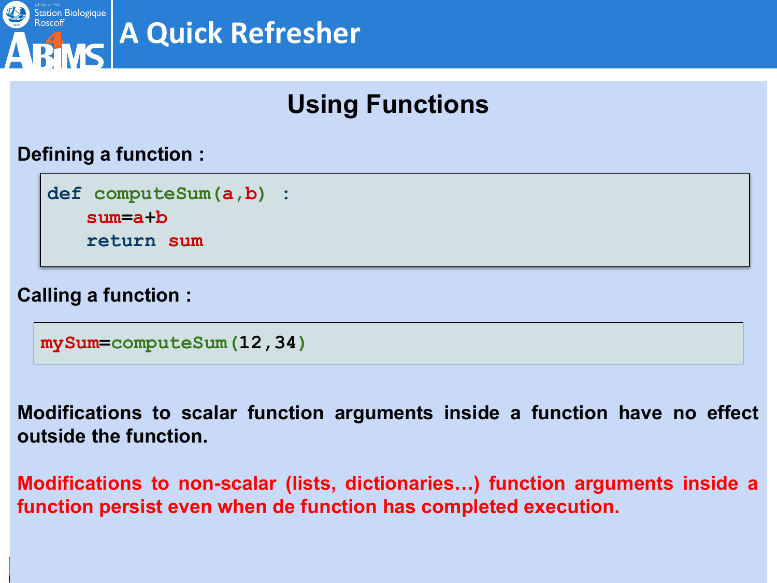

## **Using Functions**

#### **Defining a function :**

**def computeSum(a,b) : sum=a+b return sum**

#### **Calling a function :**

**mySum=computeSum(12,34)**

**Modifications to scalar function arguments inside a function have no effect outside the function.**

**Modifications to non-scalar (lists, dictionaries…) function arguments inside a function persist even when de function has completed execution.**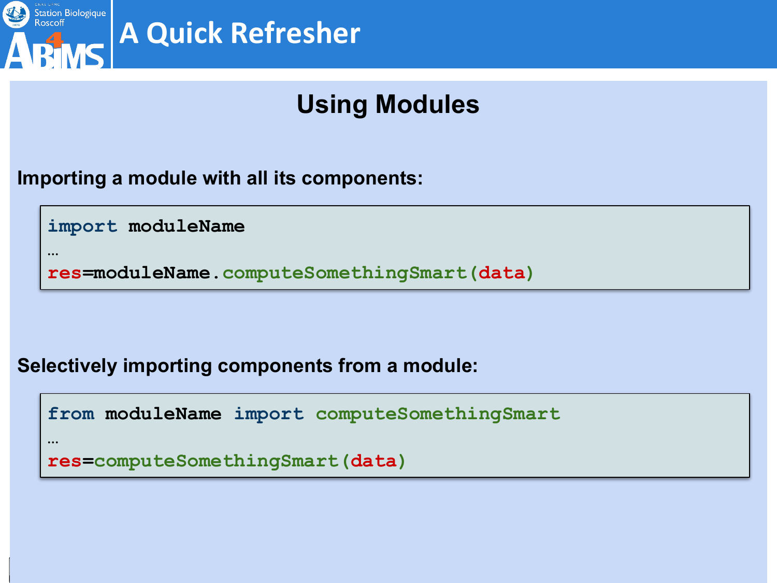

**…**

## **A Quick Refresher**

## **Using Modules**

#### **Importing a module with all its components:**

**import moduleName**

**res=moduleName.computeSomethingSmart(data)**

#### **Selectively importing components from a module:**

```
from moduleName import computeSomethingSmart
…
```

```
res=computeSomethingSmart(data)
```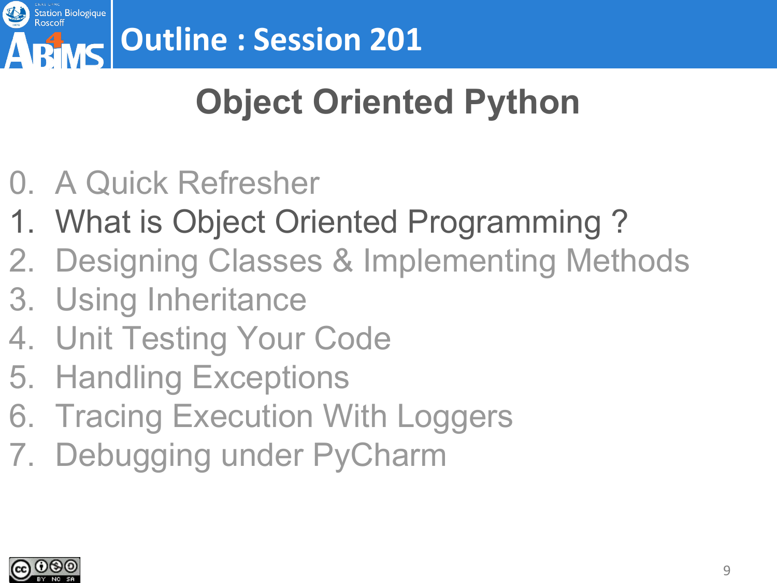

# **Object Oriented Python**

- 0. A Quick Refresher
- 1. What is Object Oriented Programming ?
- 2. Designing Classes & Implementing Methods
- 3. Using Inheritance
- 4. Unit Testing Your Code
- 5. Handling Exceptions
- 6. Tracing Execution With Loggers
- 7. Debugging under PyCharm

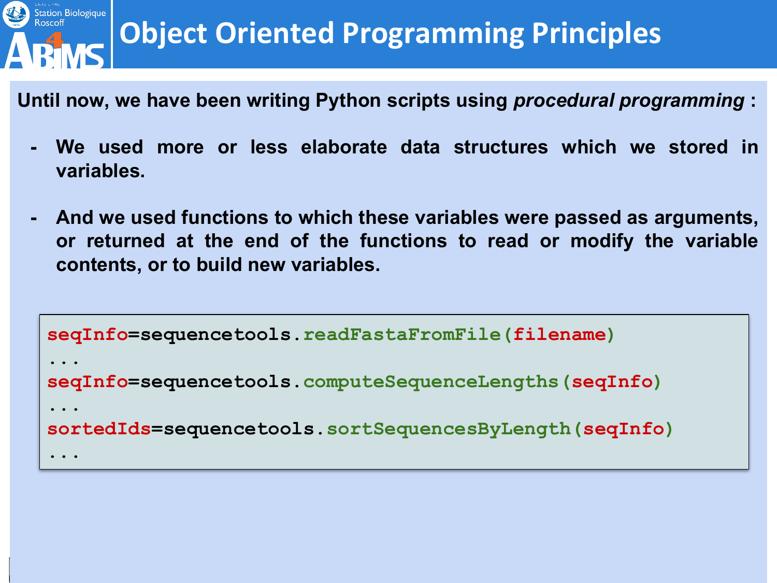

**Until now, we have been writing Python scripts using** *procedural programming* **:**

- **- We used more or less elaborate data structures which we stored in variables.**
- **- And we used functions to which these variables were passed as arguments, or returned at the end of the functions to read or modify the variable contents, or to build new variables.**

```
seqInfo=sequencetools.readFastaFromFile(filename)
...
seqInfo=sequencetools.computeSequenceLengths(seqInfo)
...
sortedIds=sequencetools.sortSequencesByLength(seqInfo)
...
```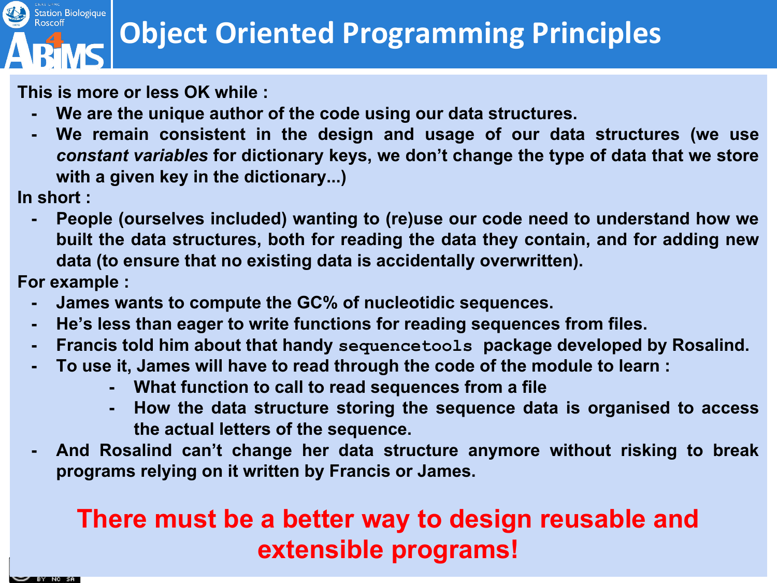**This is more or less OK while :**

- **- We are the unique author of the code using our data structures.**
- **- We remain consistent in the design and usage of our data structures (we use**  *constant variables* **for dictionary keys, we don't change the type of data that we store with a given key in the dictionary...)**

**In short :**

Station Biologique

**- People (ourselves included) wanting to (re)use our code need to understand how we built the data structures, both for reading the data they contain, and for adding new data (to ensure that no existing data is accidentally overwritten).**

**For example :**

- **- James wants to compute the GC% of nucleotidic sequences.**
- **- He's less than eager to write functions for reading sequences from files.**
- **- Francis told him about that handy sequencetools package developed by Rosalind.**
- **- To use it, James will have to read through the code of the module to learn :**
	- **- What function to call to read sequences from a file**
	- **- How the data structure storing the sequence data is organised to access the actual letters of the sequence.**
- **- And Rosalind can't change her data structure anymore without risking to break programs relying on it written by Francis or James.**

### **There must be a better way to design reusable and extensible programs!**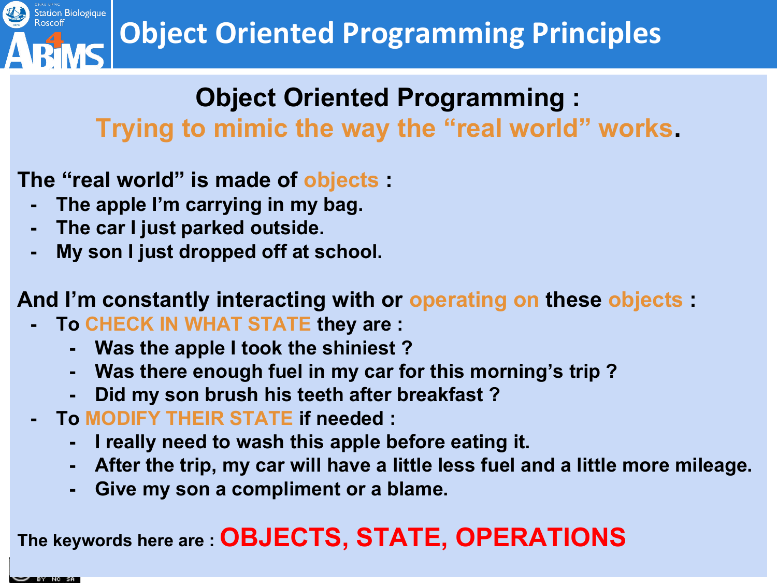

#### **Object Oriented Programming : Trying to mimic the way the "real world" works.**

- **The "real world" is made of objects :**
	- **- The apple I'm carrying in my bag.**
	- **- The car I just parked outside.**
	- **- My son I just dropped off at school.**

**And I'm constantly interacting with or operating on these objects :**

- **- To CHECK IN WHAT STATE they are :**
	- **- Was the apple I took the shiniest ?**
	- **- Was there enough fuel in my car for this morning's trip ?**
	- **- Did my son brush his teeth after breakfast ?**
- **- To MODIFY THEIR STATE if needed :**
	- **- I really need to wash this apple before eating it.**
	- **- After the trip, my car will have a little less fuel and a little more mileage.**
	- **- Give my son a compliment or a blame.**

## **The keywords here are : OBJECTS, STATE, OPERATIONS**

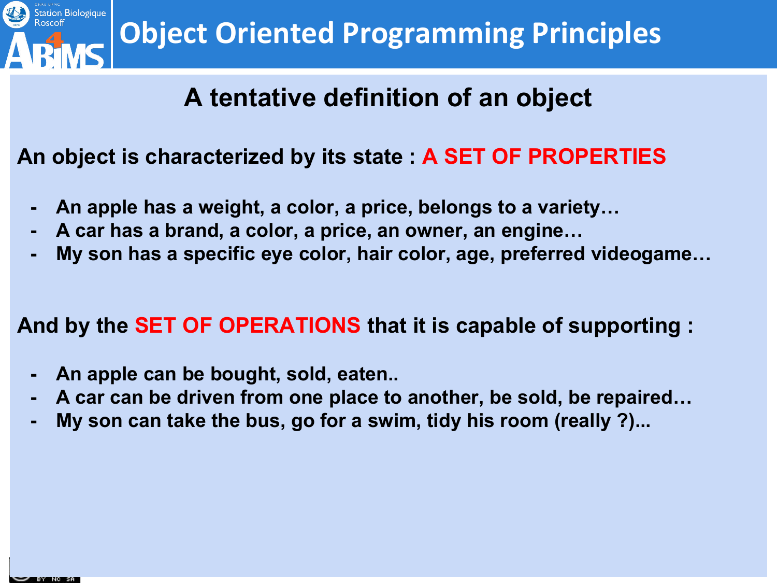

#### **A tentative definition of an object**

**An object is characterized by its state : A SET OF PROPERTIES**

- **- An apple has a weight, a color, a price, belongs to a variety…**
- **- A car has a brand, a color, a price, an owner, an engine…**
- **- My son has a specific eye color, hair color, age, preferred videogame…**

**And by the SET OF OPERATIONS that it is capable of supporting :**

- **- An apple can be bought, sold, eaten..**
- **- A car can be driven from one place to another, be sold, be repaired…**
- **- My son can take the bus, go for a swim, tidy his room (really ?)...**

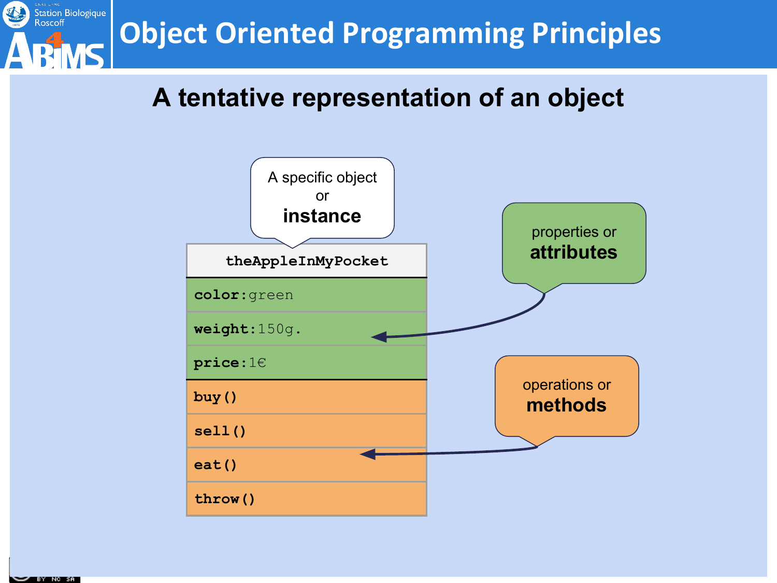

#### **A tentative representation of an object**



**SY RY NC SA**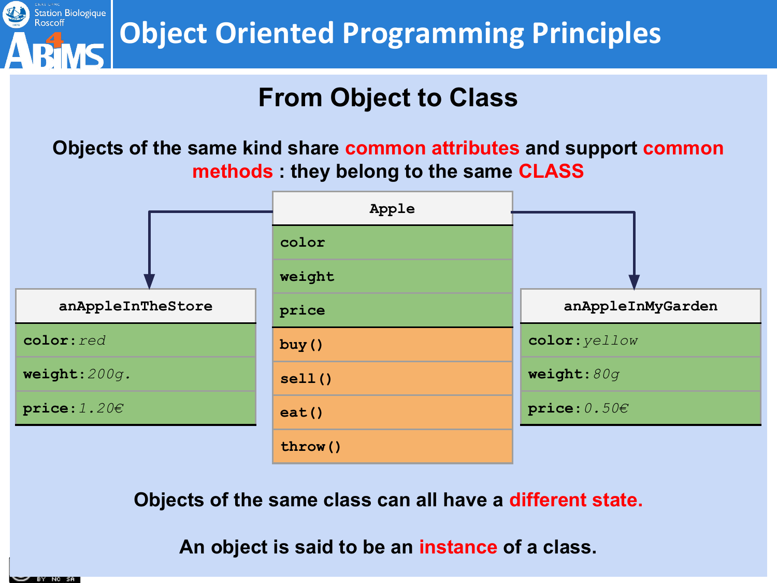

#### **From Object to Class**

**Objects of the same kind share common attributes and support common methods : they belong to the same CLASS**



**Objects of the same class can all have a different state.**

**An object is said to be an instance of a class.**

BY NC SA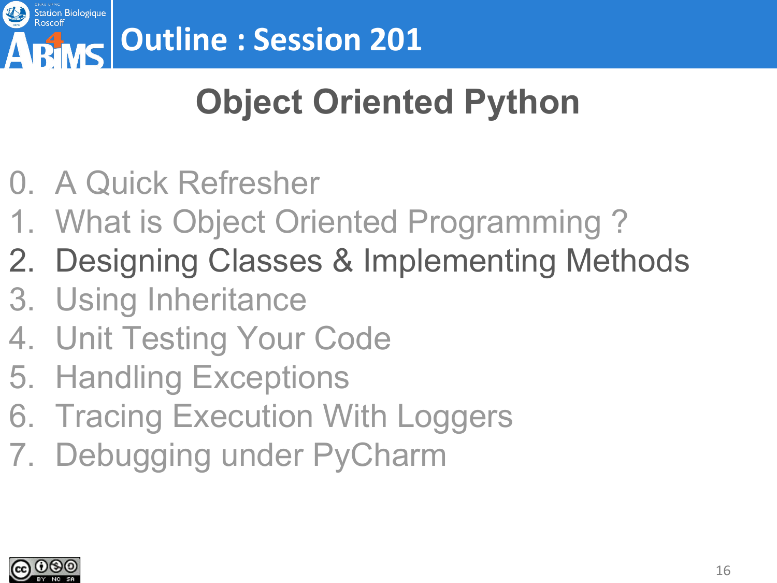

# **Object Oriented Python**

- 0. A Quick Refresher
- 1. What is Object Oriented Programming ?
- 2. Designing Classes & Implementing Methods
- 3. Using Inheritance
- 4. Unit Testing Your Code
- 5. Handling Exceptions
- 6. Tracing Execution With Loggers
- 7. Debugging under PyCharm

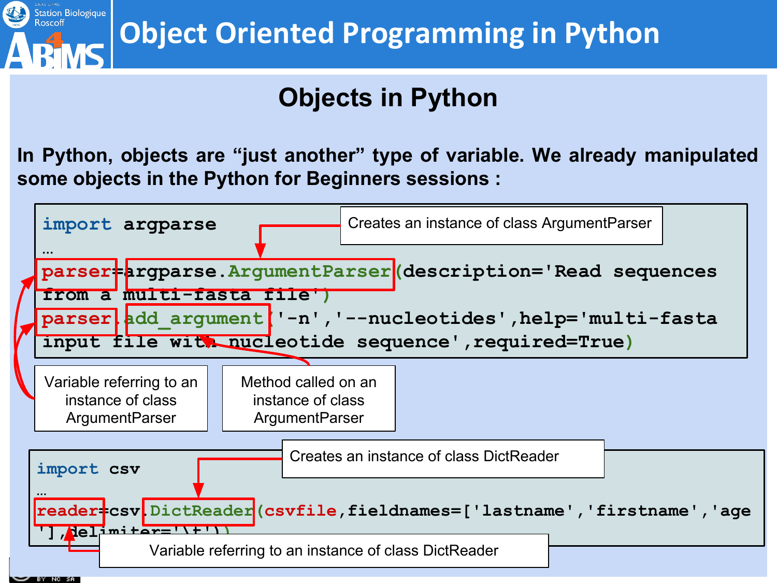

### **Objects in Python**

**In Python, objects are "just another" type of variable. We already manipulated some objects in the Python for Beginners sessions :**

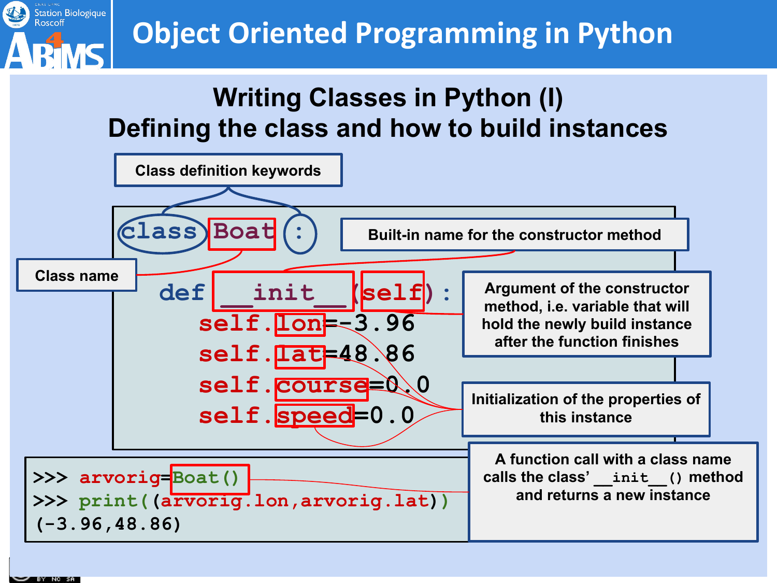

## **Object Oriented Programming in Python**

#### **Writing Classes in Python (I) Defining the class and how to build instances**



18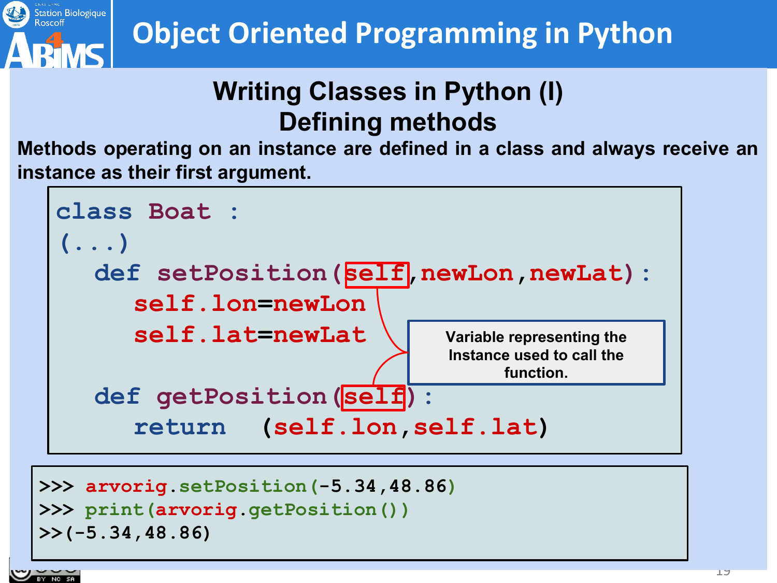

### **Writing Classes in Python (I) Defining methods**

**Methods operating on an instance are defined in a class and always receive an instance as their first argument.**



```
>>> print(arvorig.getPosition())
>>(-5.34,48.86)
```


Station Biologique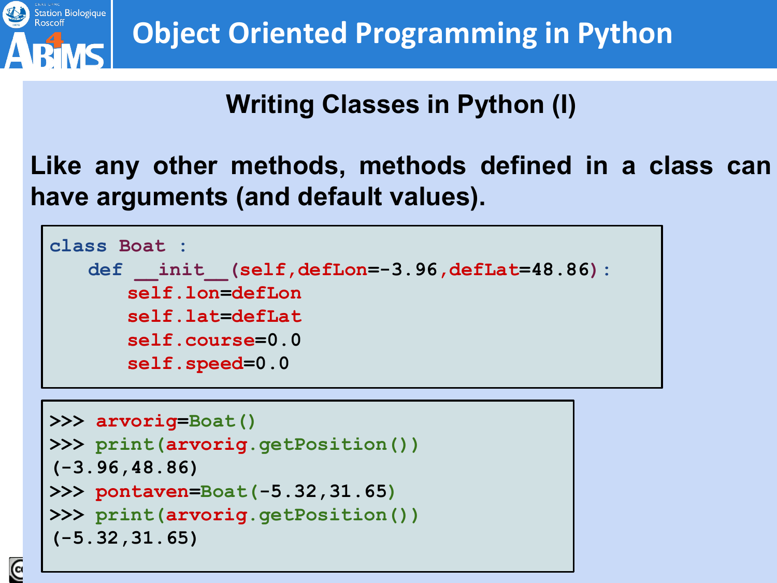

### **Writing Classes in Python (I)**

#### **Like any other methods, methods defined in a class can have arguments (and default values).**



```
>>> arvorig=Boat()
>>> print(arvorig.getPosition())
(-3.96,48.86)
>>> pontaven=Boat(-5.32,31.65)
>>> print(arvorig.getPosition())
(-5.32,31.65)
```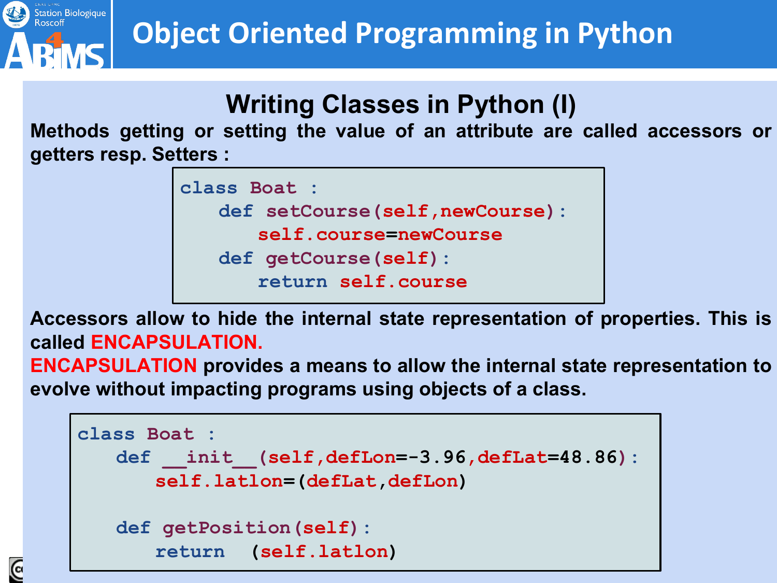

## **Object Oriented Programming in Python**

#### **Writing Classes in Python (I)**

**Methods getting or setting the value of an attribute are called accessors or getters resp. Setters :**

```
class Boat :
   def setCourse(self,newCourse):
      self.course=newCourse
   def getCourse(self):
      return self.course
```
**Accessors allow to hide the internal state representation of properties. This is called ENCAPSULATION.** 

**ENCAPSULATION provides a means to allow the internal state representation to evolve without impacting programs using objects of a class.**

```
class Boat :
   def init (self,defLon=-3.96,defLat=48.86):
      self.latlon=(defLat,defLon)
   def getPosition(self):
      return (self.latlon)
```
 $\overline{6}$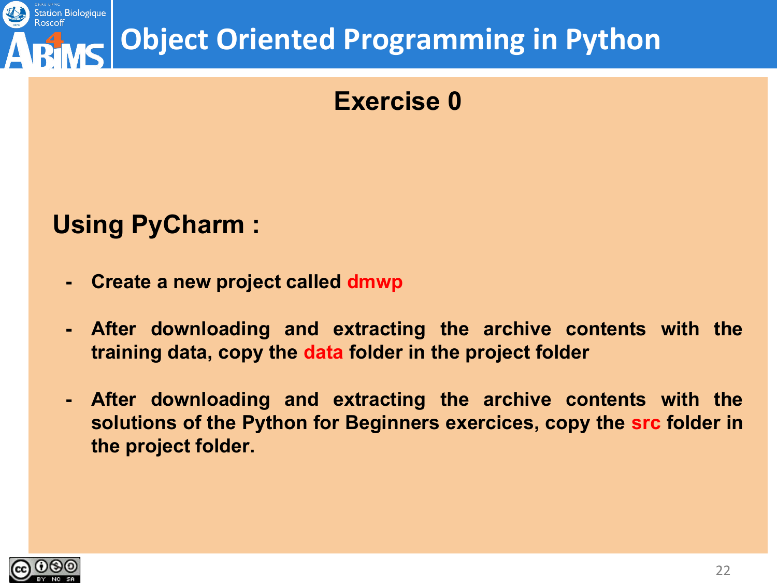

## **Object Oriented Programming in Python**

#### **Exercise 0**

#### **Using PyCharm :**

- **- Create a new project called dmwp**
- **- After downloading and extracting the archive contents with the training data, copy the data folder in the project folder**
- **- After downloading and extracting the archive contents with the solutions of the Python for Beginners exercices, copy the src folder in the project folder.**

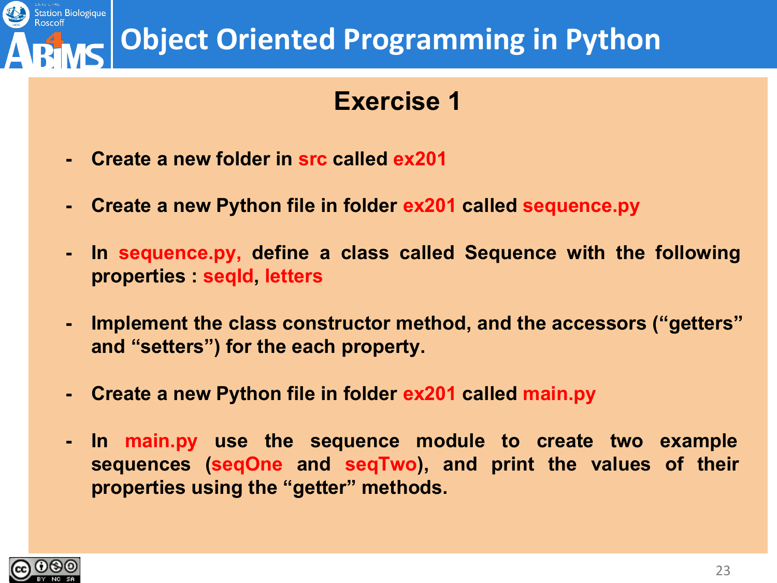#### Station Biologique **Object Oriented Programming in Python**

#### **Exercise 1**

- **- Create a new folder in src called ex201**
- **- Create a new Python file in folder ex201 called sequence.py**
- **- In sequence.py, define a class called Sequence with the following properties : seqId, letters**
- **- Implement the class constructor method, and the accessors ("getters" and "setters") for the each property.**
- **- Create a new Python file in folder ex201 called main.py**
- **- In main.py use the sequence module to create two example sequences (seqOne and seqTwo), and print the values of their properties using the "getter" methods.**

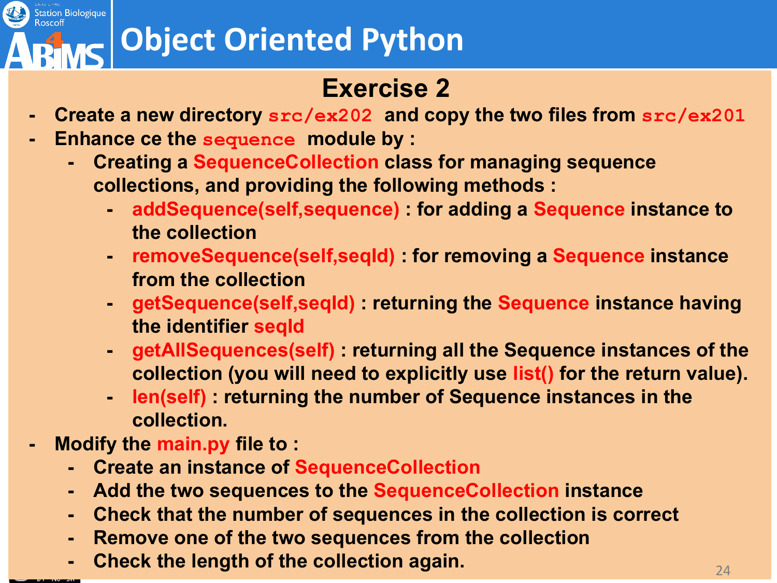# **Object Oriented Python**

#### **Exercise 2**

- **- Create a new directory src/ex202 and copy the two files from src/ex201**
- **- Enhance ce the sequence module by :**
	- **- Creating a SequenceCollection class for managing sequence collections, and providing the following methods :**
		- **- addSequence(self,sequence) : for adding a Sequence instance to the collection**
		- **- removeSequence(self,seqId) : for removing a Sequence instance from the collection**
		- **- getSequence(self,seqId) : returning the Sequence instance having the identifier seqId**
		- **- getAllSequences(self) : returning all the Sequence instances of the collection (you will need to explicitly use list() for the return value).**
		- **- len(self) : returning the number of Sequence instances in the collection.**
- **- Modify the main.py file to :**
	- **- Create an instance of SequenceCollection**
	- **- Add the two sequences to the SequenceCollection instance**
	- **- Check that the number of sequences in the collection is correct**
	- **- Remove one of the two sequences from the collection**
	- **Check the length of the collection again. Check the length of the collection again.**



Station Biologique<br>Roscoff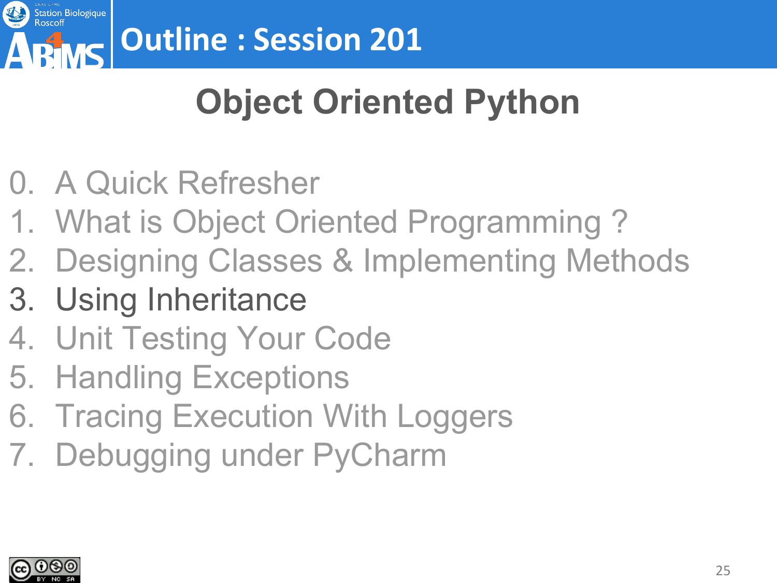

# **Object Oriented Python**

- 0. A Quick Refresher
- 1. What is Object Oriented Programming ?
- 2. Designing Classes & Implementing Methods
- 3. Using Inheritance
- 4. Unit Testing Your Code
- 5. Handling Exceptions
- 6. Tracing Execution With Loggers
- 7. Debugging under PyCharm

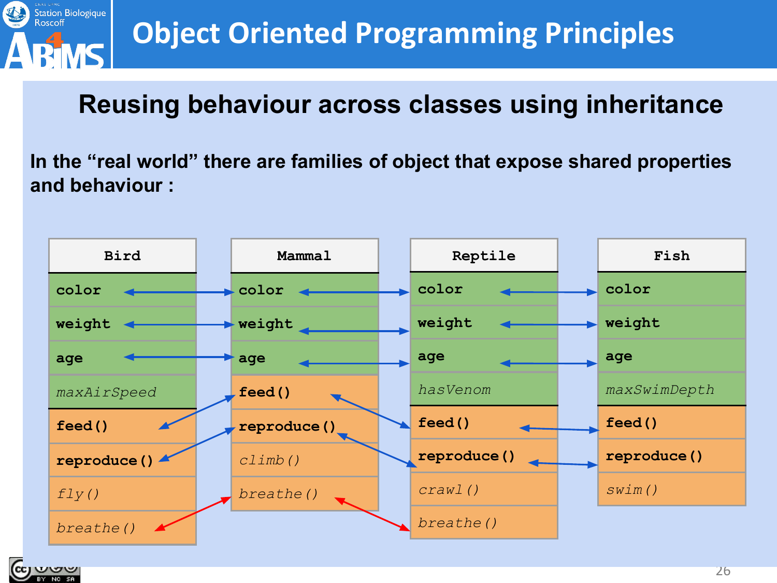

#### **Reusing behaviour across classes using inheritance**

**In the "real world" there are families of object that expose shared properties and behaviour :**

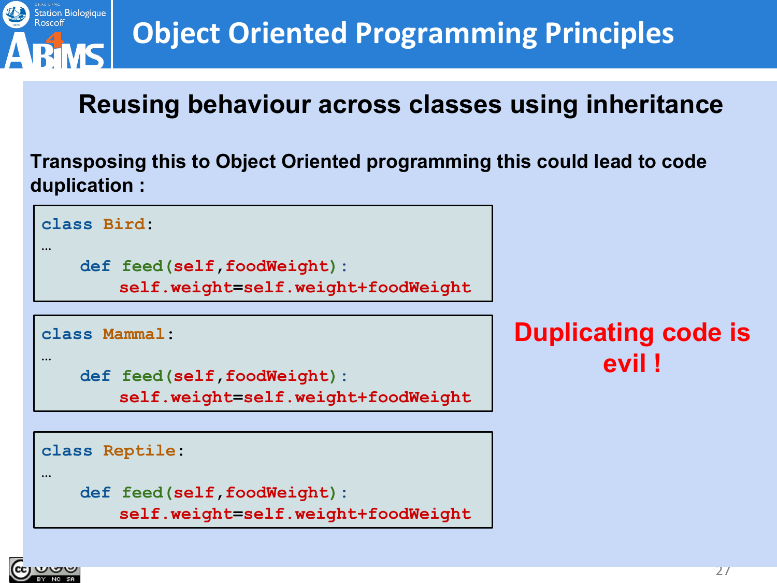

#### **Reusing behaviour across classes using inheritance**

**Transposing this to Object Oriented programming this could lead to code duplication :** 

```
class Bird:
```

```
…
```

```
def feed(self,foodWeight):
```
**self.weight=self.weight+foodWeight**

**class Mammal:**

```
…
```

```
def feed(self,foodWeight):
```
**self.weight=self.weight+foodWeight**

**class Reptile:**

```
…
```

```
def feed(self,foodWeight):
```
**self.weight=self.weight+foodWeight**

**Duplicating code is evil !**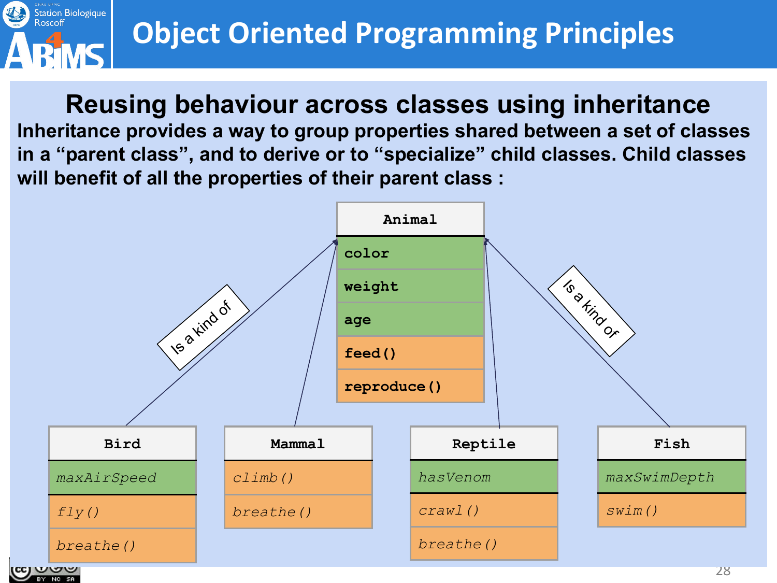

#### **Reusing behaviour across classes using inheritance**

**Inheritance provides a way to group properties shared between a set of classes in a "parent class", and to derive or to "specialize" child classes. Child classes will benefit of all the properties of their parent class :**

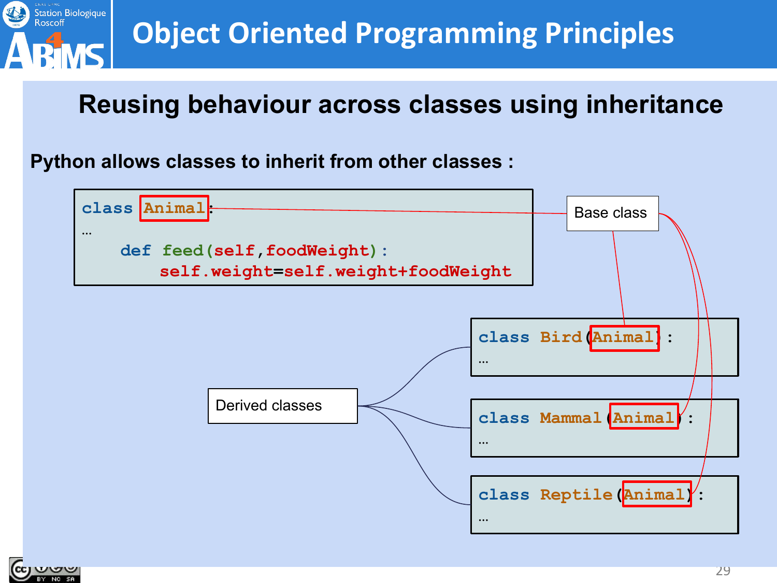

#### **Reusing behaviour across classes using inheritance**

**Python allows classes to inherit from other classes :**



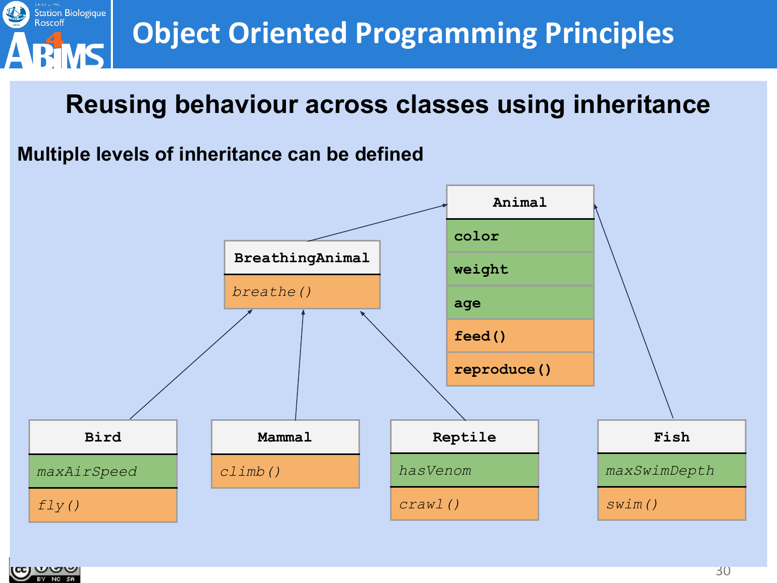

#### **Reusing behaviour across classes using inheritance**

#### **Multiple levels of inheritance can be defined**



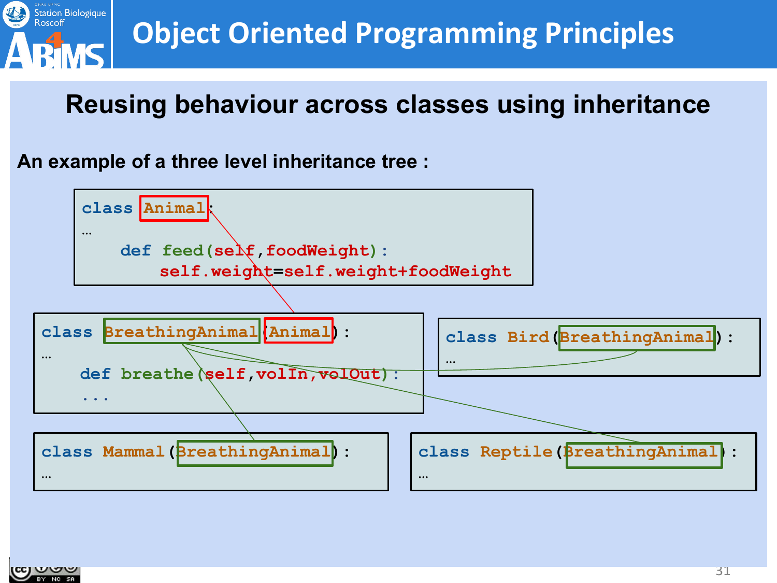

#### **Reusing behaviour across classes using inheritance**

**An example of a three level inheritance tree :**



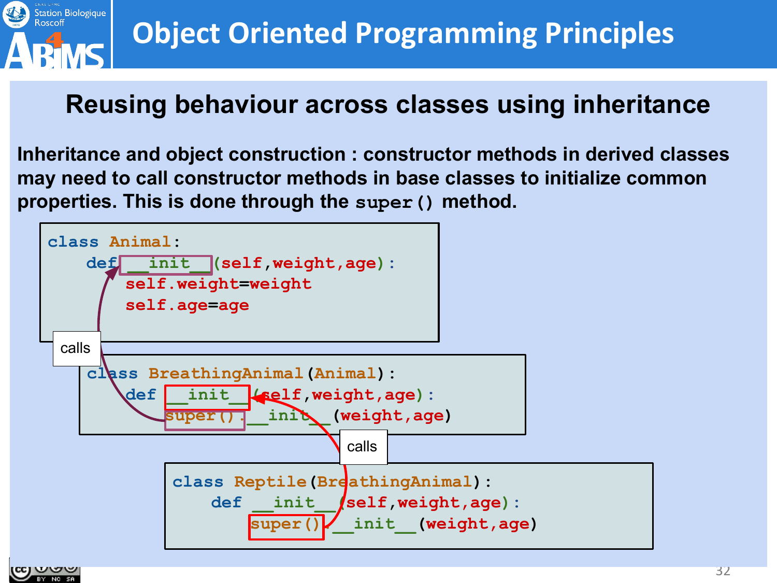

#### **Reusing behaviour across classes using inheritance**

**Inheritance and object construction : constructor methods in derived classes may need to call constructor methods in base classes to initialize common properties. This is done through the super() method.**

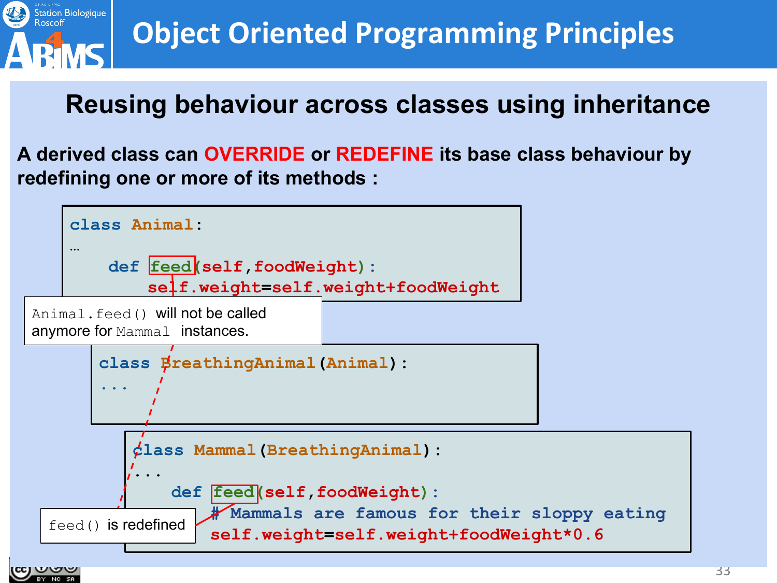

#### **Reusing behaviour across classes using inheritance**

**A derived class can OVERRIDE or REDEFINE its base class behaviour by redefining one or more of its methods :**

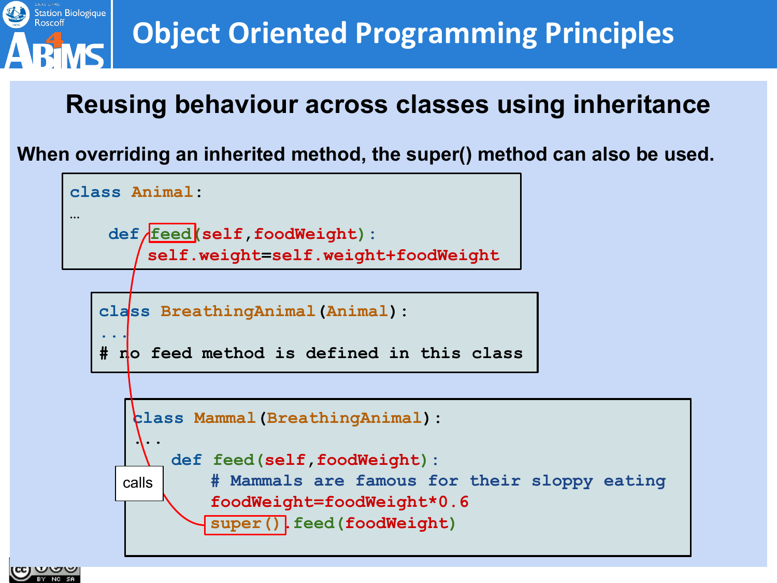

#### **Reusing behaviour across classes using inheritance**

**When overriding an inherited method, the super() method can also be used.**

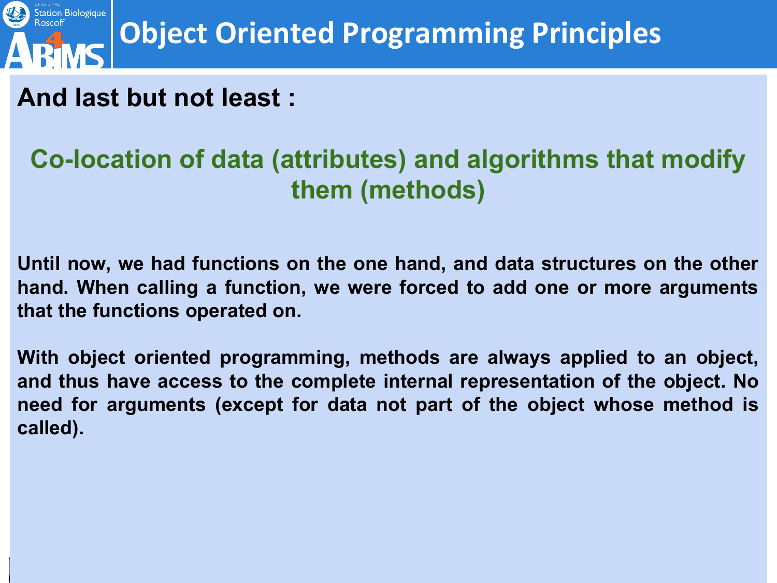

**And last but not least :**

#### **Co-location of data (attributes) and algorithms that modify them (methods)**

**Until now, we had functions on the one hand, and data structures on the other hand. When calling a function, we were forced to add one or more arguments that the functions operated on.**

**With object oriented programming, methods are always applied to an object, and thus have access to the complete internal representation of the object. No need for arguments (except for data not part of the object whose method is called).**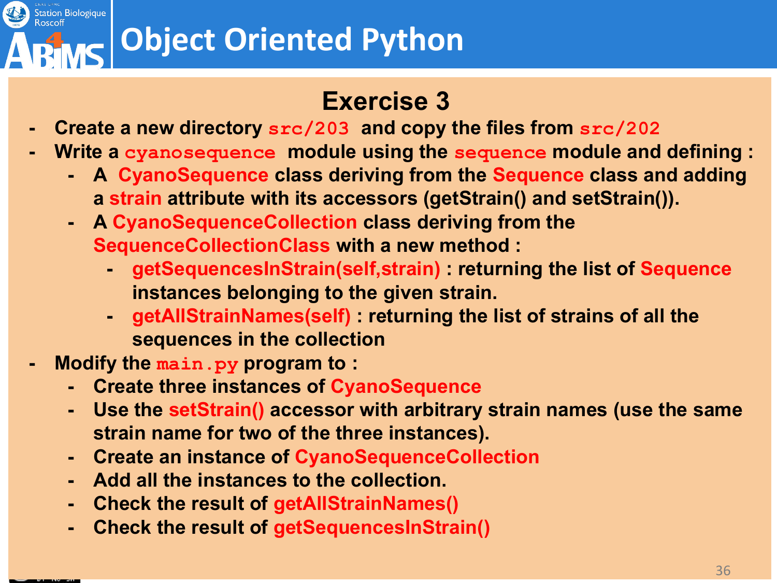# **Object Oriented Python**

#### **Exercise 3**

- **- Create a new directory src/203 and copy the files from src/202**
- **- Write a cyanosequence module using the sequence module and defining :**
	- **- A CyanoSequence class deriving from the Sequence class and adding a strain attribute with its accessors (getStrain() and setStrain()).**
	- **- A CyanoSequenceCollection class deriving from the SequenceCollectionClass with a new method :**
		- **- getSequencesInStrain(self,strain) : returning the list of Sequence instances belonging to the given strain.**
		- **- getAllStrainNames(self) : returning the list of strains of all the sequences in the collection**
- **- Modify the main.py program to :**
	- **- Create three instances of CyanoSequence**
	- **- Use the setStrain() accessor with arbitrary strain names (use the same strain name for two of the three instances).**
	- **- Create an instance of CyanoSequenceCollection**
	- **- Add all the instances to the collection.**
	- **- Check the result of getAllStrainNames()**
	- **- Check the result of getSequencesInStrain()**



Station Biologique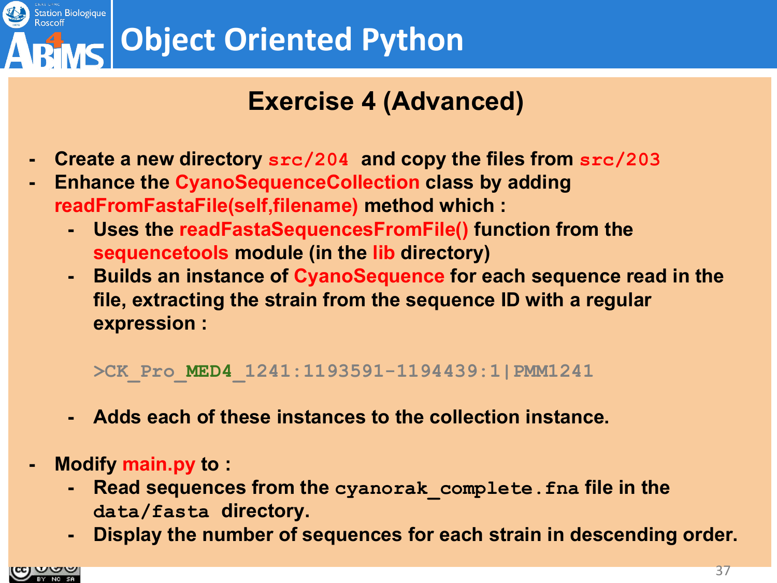

### **Exercise 4 (Advanced)**

- **- Create a new directory src/204 and copy the files from src/203**
- **- Enhance the CyanoSequenceCollection class by adding readFromFastaFile(self,filename) method which :**
	- **- Uses the readFastaSequencesFromFile() function from the sequencetools module (in the lib directory)**
	- **- Builds an instance of CyanoSequence for each sequence read in the file, extracting the strain from the sequence ID with a regular expression :**

**>CK\_Pro\_MED4\_1241:1193591-1194439:1|PMM1241**

- **- Adds each of these instances to the collection instance.**
- **- Modify main.py to :**
	- **- Read sequences from the cyanorak\_complete.fna file in the data/fasta directory.**
	- **- Display the number of sequences for each strain in descending order.**

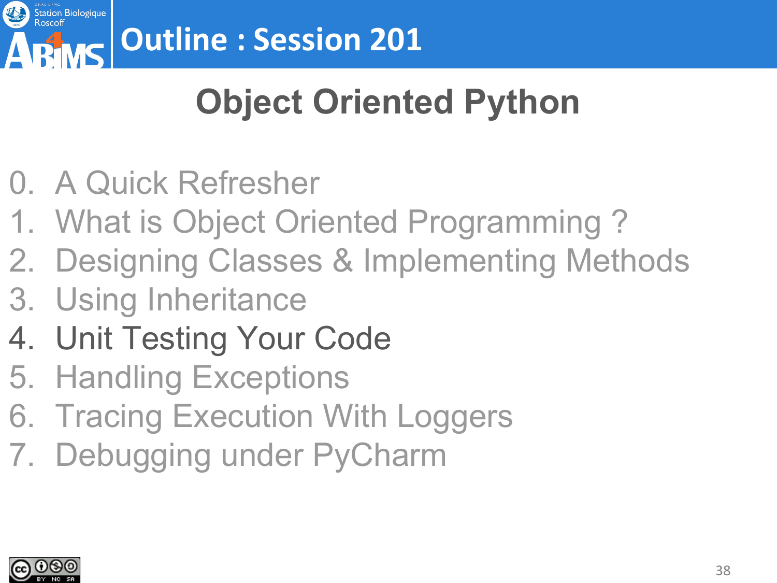

# **Object Oriented Python**

- 0. A Quick Refresher
- 1. What is Object Oriented Programming ?
- 2. Designing Classes & Implementing Methods
- 3. Using Inheritance
- 4. Unit Testing Your Code
- 5. Handling Exceptions
- 6. Tracing Execution With Loggers
- 7. Debugging under PyCharm

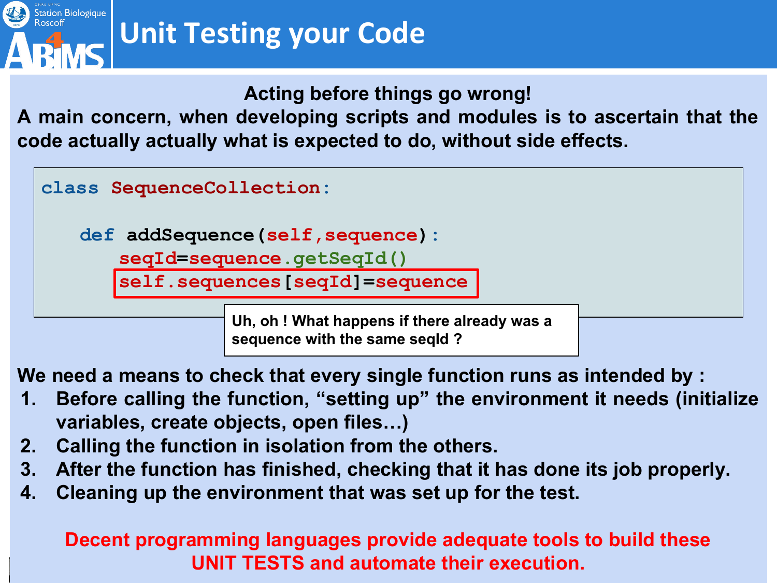

**Acting before things go wrong!**

**A main concern, when developing scripts and modules is to ascertain that the code actually actually what is expected to do, without side effects.**



**def addSequence(self,sequence):**

**seqId=sequence.getSeqId()**

**self.sequences[seqId]=sequence**

**Uh, oh ! What happens if there already was a sequence with the same seqId ?** 

**We need a means to check that every single function runs as intended by :**

- **1. Before calling the function, "setting up" the environment it needs (initialize variables, create objects, open files…)**
- **2. Calling the function in isolation from the others.**
- **3. After the function has finished, checking that it has done its job properly.**
- **4. Cleaning up the environment that was set up for the test.**

**Decent programming languages provide adequate tools to build these UNIT TESTS and automate their execution.**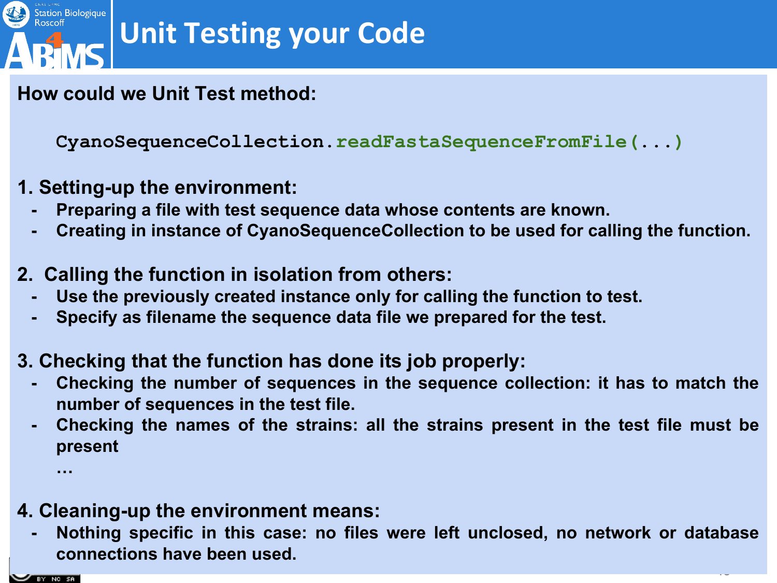

#### **How could we Unit Test method:**

**CyanoSequenceCollection.readFastaSequenceFromFile(...)**

- **1. Setting-up the environment:**
	- **- Preparing a file with test sequence data whose contents are known.**
	- **- Creating in instance of CyanoSequenceCollection to be used for calling the function.**
- **2. Calling the function in isolation from others:**
	- **- Use the previously created instance only for calling the function to test.**
	- **- Specify as filename the sequence data file we prepared for the test.**
- **3. Checking that the function has done its job properly:**
	- **- Checking the number of sequences in the sequence collection: it has to match the number of sequences in the test file.**
	- **- Checking the names of the strains: all the strains present in the test file must be present**
- **4. Cleaning-up the environment means:**
	- **- Nothing specific in this case: no files were left unclosed, no network or database connections have been used.**

 $\sim$ 



**…**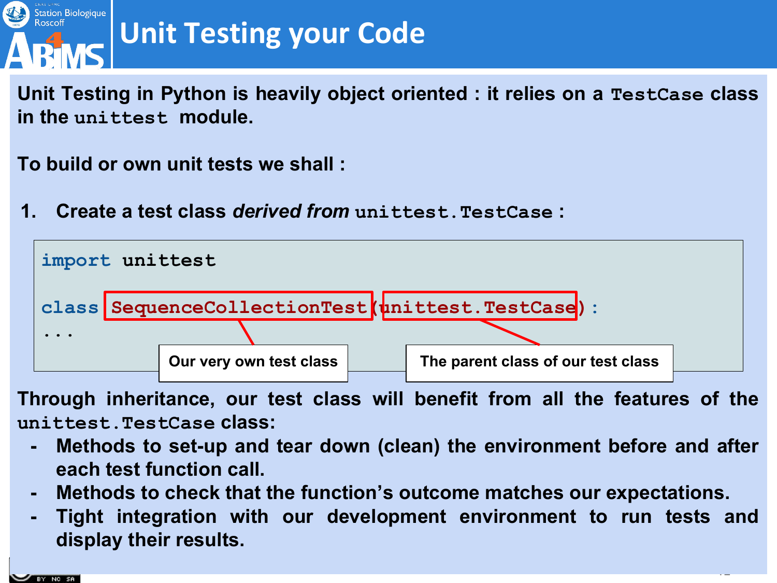

**Unit Testing in Python is heavily object oriented : it relies on a TestCase class in the unittest module.** 

**To build or own unit tests we shall :**

**1. Create a test class** *derived from* **unittest.TestCase :**



**Through inheritance, our test class will benefit from all the features of the unittest.TestCase class:**

- **- Methods to set-up and tear down (clean) the environment before and after each test function call.**
- **- Methods to check that the function's outcome matches our expectations.**
- **- Tight integration with our development environment to run tests and display their results.**

 $\mathcal{A}$ 

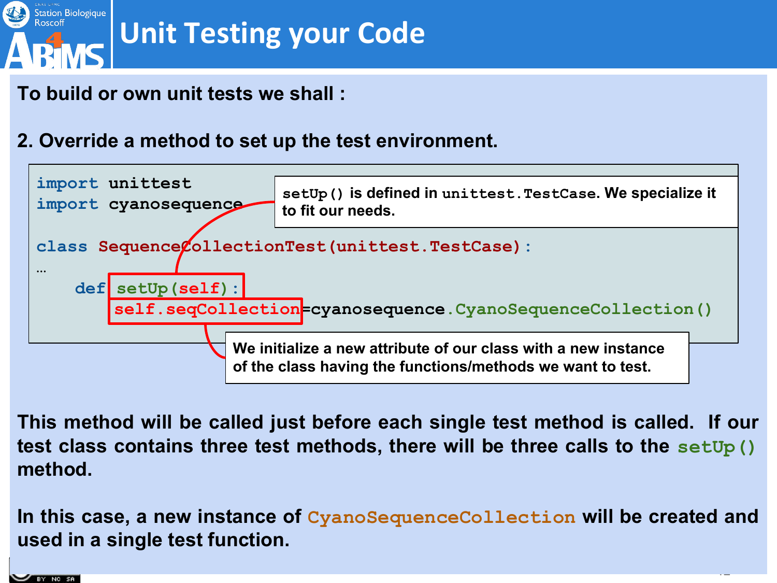

#### **To build or own unit tests we shall :**

#### **2. Override a method to set up the test environment.**



**This method will be called just before each single test method is called. If our test class contains three test methods, there will be three calls to the setUp() method.** 

**In this case, a new instance of CyanoSequenceCollection will be created and used in a single test function.**

 $\ddot{\phantom{1}}$ 

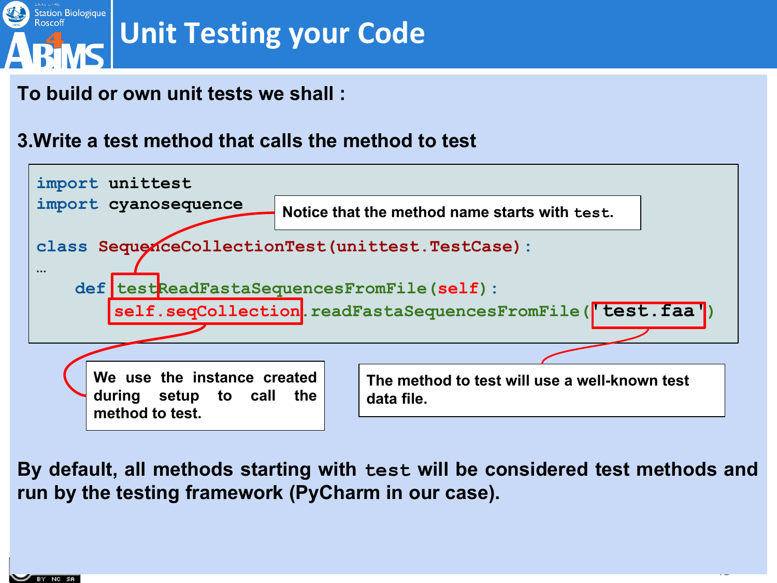

#### **To build or own unit tests we shall :**

#### **3.Write a test method that calls the method to test**



**By default, all methods starting with test will be considered test methods and run by the testing framework (PyCharm in our case).**

 $\ddot{\phantom{1}}$ 

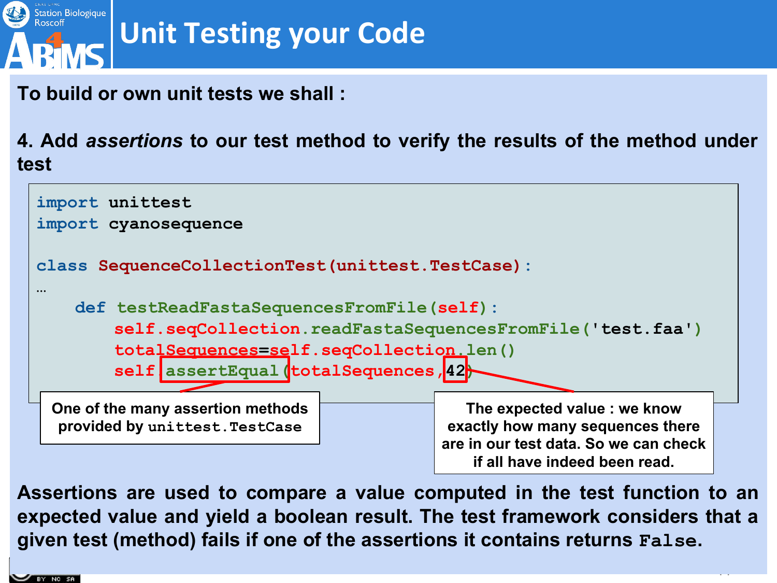

**To build or own unit tests we shall :**

**4. Add** *assertions* **to our test method to verify the results of the method under test** 



**Assertions are used to compare a value computed in the test function to an expected value and yield a boolean result. The test framework considers that a given test (method) fails if one of the assertions it contains returns False.**

 $\mathcal{A}$ 

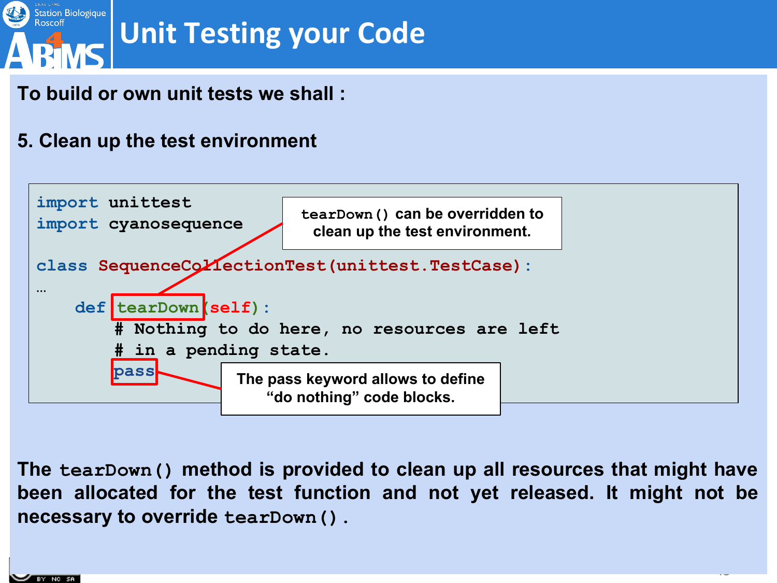

#### **To build or own unit tests we shall :**

#### **5. Clean up the test environment**



**The tearDown() method is provided to clean up all resources that might have been allocated for the test function and not yet released. It might not be necessary to override tearDown().**

 $\ddot{\phantom{0}}$ 

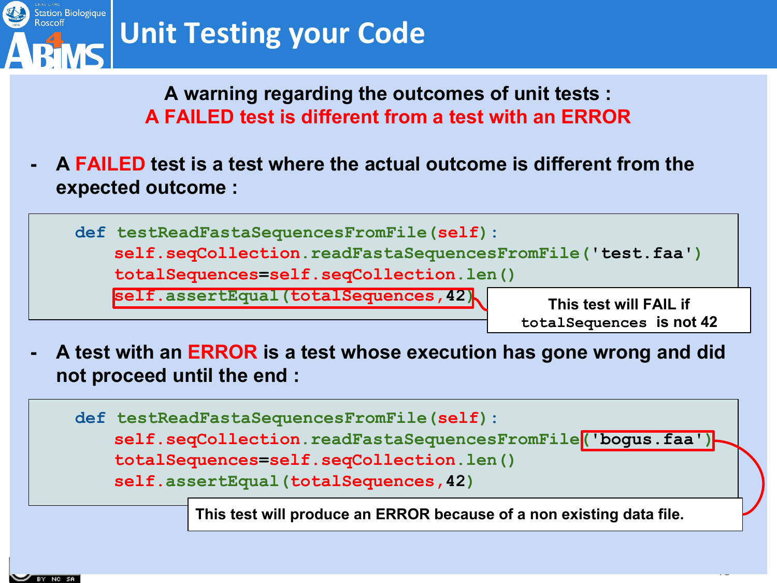

**A warning regarding the outcomes of unit tests : A FAILED test is different from a test with an ERROR**

**- A FAILED test is a test where the actual outcome is different from the expected outcome :**

**def testReadFastaSequencesFromFile(self):**

**self.seqCollection.readFastaSequencesFromFile('test.faa')**

**totalSequences=self.seqCollection.len()**

**self.assertEqual(totalSequences,42)**

**This test will FAIL if totalSequences is not 42**

 $\sim$ 

**- A test with an ERROR is a test whose execution has gone wrong and did not proceed until the end :**



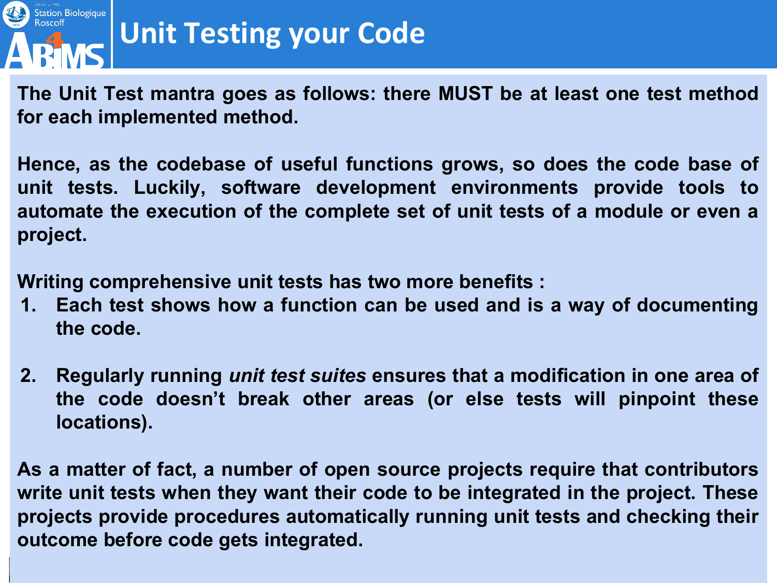

**The Unit Test mantra goes as follows: there MUST be at least one test method for each implemented method.**

**Hence, as the codebase of useful functions grows, so does the code base of unit tests. Luckily, software development environments provide tools to automate the execution of the complete set of unit tests of a module or even a project.**

**Writing comprehensive unit tests has two more benefits :**

- **1. Each test shows how a function can be used and is a way of documenting the code.**
- **2. Regularly running** *unit test suites* **ensures that a modification in one area of the code doesn't break other areas (or else tests will pinpoint these locations).**

**As a matter of fact, a number of open source projects require that contributors write unit tests when they want their code to be integrated in the project. These projects provide procedures automatically running unit tests and checking their outcome before code gets integrated.**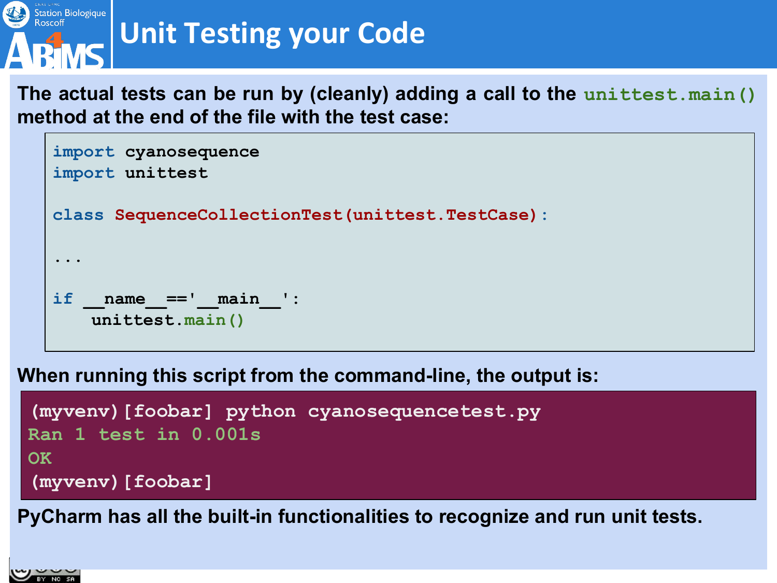

**The actual tests can be run by (cleanly) adding a call to the unittest.main() method at the end of the file with the test case:**

```
import cyanosequence
import unittest
class SequenceCollectionTest(unittest.TestCase): 
...
if name ==' main ':
   unittest.main()
```
**When running this script from the command-line, the output is:**

```
(myvenv)[foobar] python cyanosequencetest.py
Ran 1 test in 0.001s
OK
(myvenv)[foobar]
```
**PyCharm has all the built-in functionalities to recognize and run unit tests.**

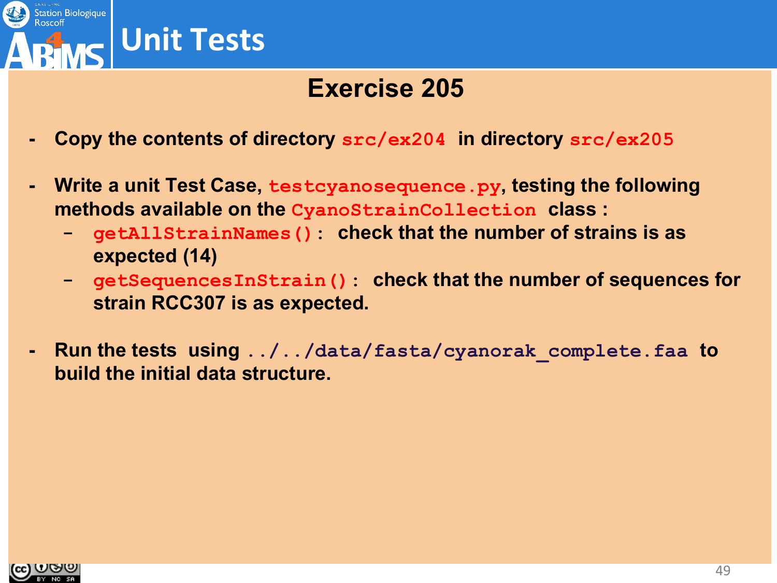

### **Exercise 205**

- **- Copy the contents of directory src/ex204 in directory src/ex205**
- **- Write a unit Test Case, testcyanosequence.py, testing the following methods available on the CyanoStrainCollection class :**
	- **- getAllStrainNames(): check that the number of strains is as expected (14)**
	- **- getSequencesInStrain(): check that the number of sequences for strain RCC307 is as expected.**
- **- Run the tests using ../../data/fasta/cyanorak\_complete.faa to build the initial data structure.**

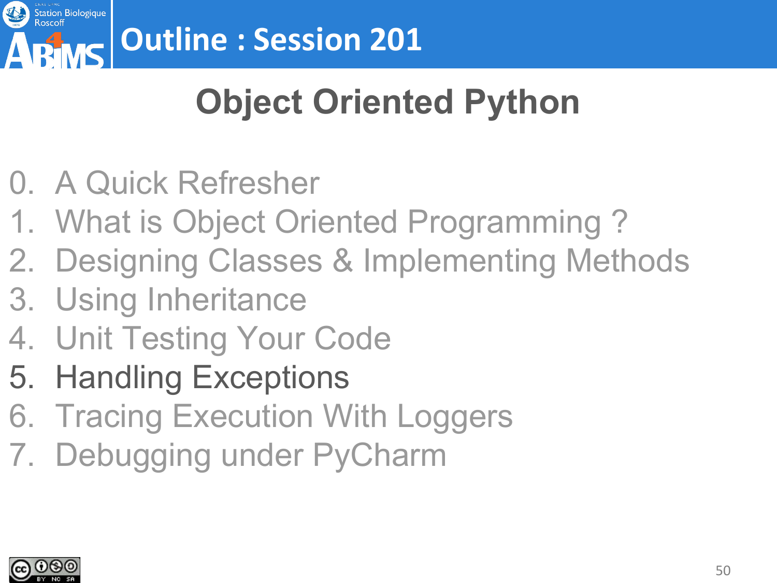

# **Object Oriented Python**

- 0. A Quick Refresher
- 1. What is Object Oriented Programming ?
- 2. Designing Classes & Implementing Methods
- 3. Using Inheritance
- 4. Unit Testing Your Code
- 5. Handling Exceptions
- 6. Tracing Execution With Loggers
- 7. Debugging under PyCharm

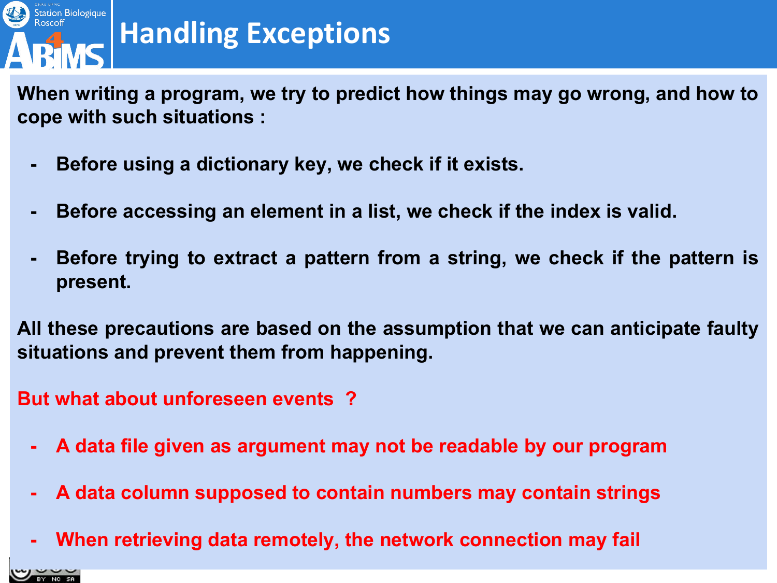

**When writing a program, we try to predict how things may go wrong, and how to cope with such situations :**

- **- Before using a dictionary key, we check if it exists.**
- **- Before accessing an element in a list, we check if the index is valid.**
- **- Before trying to extract a pattern from a string, we check if the pattern is present.**

**All these precautions are based on the assumption that we can anticipate faulty situations and prevent them from happening.**

**But what about unforeseen events ?**

- **- A data file given as argument may not be readable by our program**
- **- A data column supposed to contain numbers may contain strings**
- **- When retrieving data remotely, the network connection may fail**

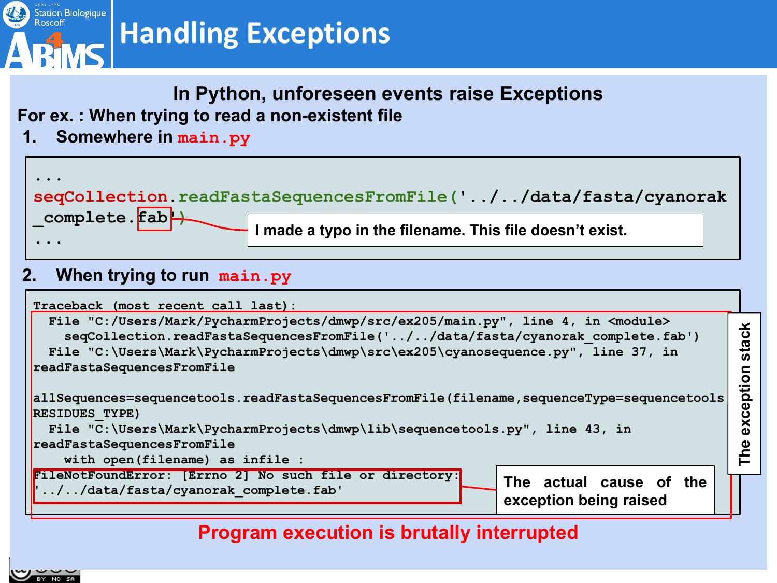

#### **In Python, unforeseen events raise Exceptions**

#### **For ex. : When trying to read a non-existent file**

**1. Somewhere in main.py**



#### **2. When trying to run main.py**



**Program execution is brutally interrupted**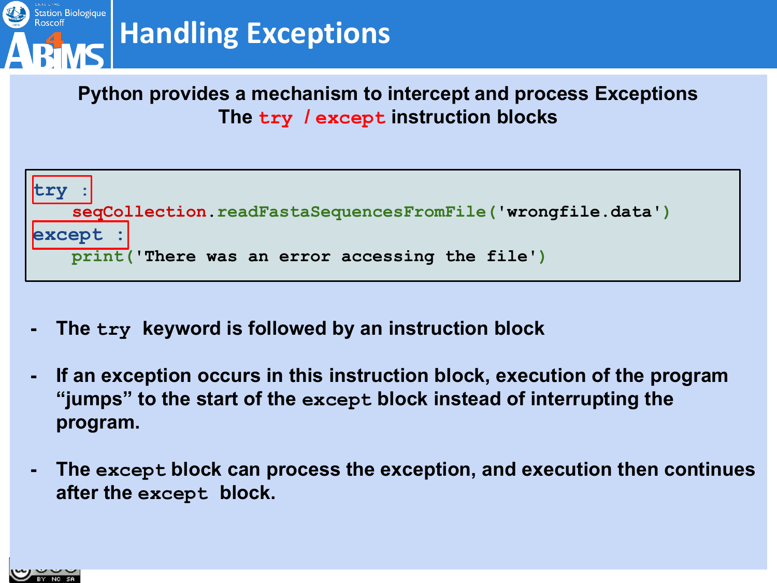

**Python provides a mechanism to intercept and process Exceptions The try / except instruction blocks**



- **- The try keyword is followed by an instruction block**
- **- If an exception occurs in this instruction block, execution of the program "jumps" to the start of the except block instead of interrupting the program.**
- **- The except block can process the exception, and execution then continues after the except block.**

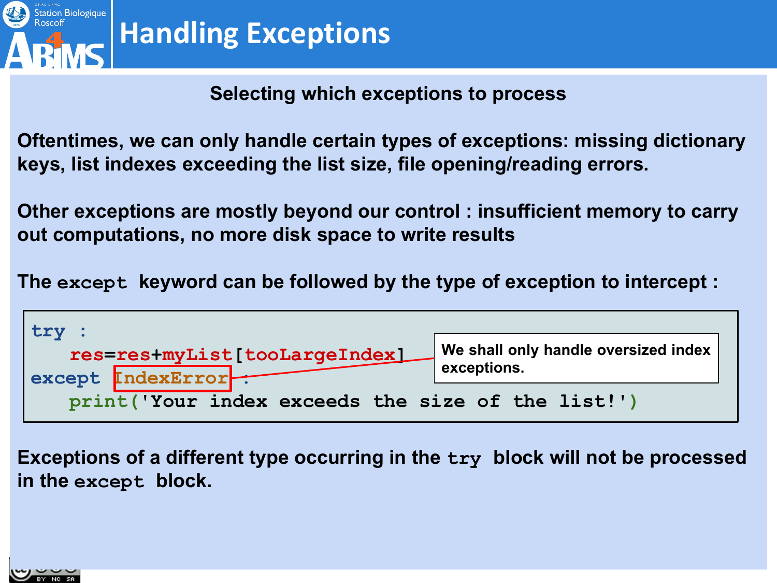

#### **Selecting which exceptions to process**

**Oftentimes, we can only handle certain types of exceptions: missing dictionary keys, list indexes exceeding the list size, file opening/reading errors.**

**Other exceptions are mostly beyond our control : insufficient memory to carry out computations, no more disk space to write results**

**The except keyword can be followed by the type of exception to intercept :**



**Exceptions of a different type occurring in the try block will not be processed in the except block.**

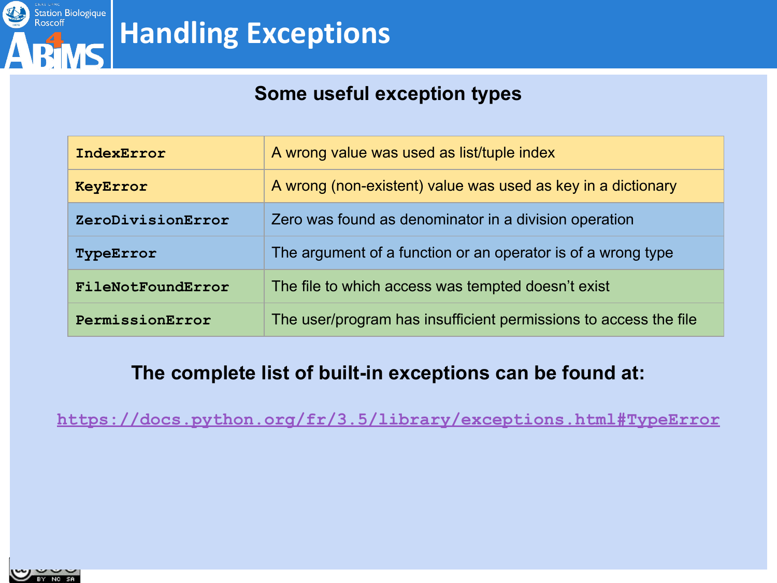

#### **Some useful exception types**

| IndexError        | A wrong value was used as list/tuple index                       |
|-------------------|------------------------------------------------------------------|
| KeyError          | A wrong (non-existent) value was used as key in a dictionary     |
| ZeroDivisionError | Zero was found as denominator in a division operation            |
| TypeError         | The argument of a function or an operator is of a wrong type     |
| FileNotFoundError | The file to which access was tempted doesn't exist               |
| PermissionError   | The user/program has insufficient permissions to access the file |

#### **The complete list of built-in exceptions can be found at:**

**<https://docs.python.org/fr/3.5/library/exceptions.html#TypeError>**

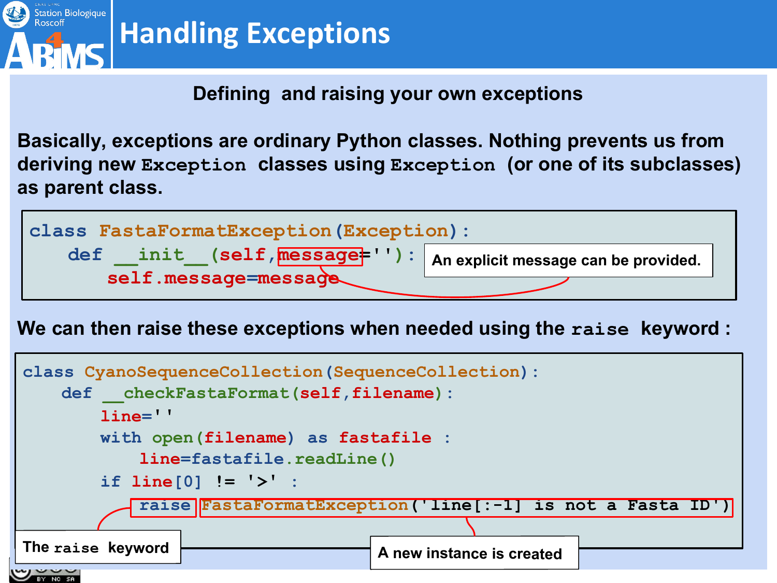

#### **Defining and raising your own exceptions**

**Basically, exceptions are ordinary Python classes. Nothing prevents us from deriving new Exception classes using Exception (or one of its subclasses) as parent class.**



**We can then raise these exceptions when needed using the raise keyword :**

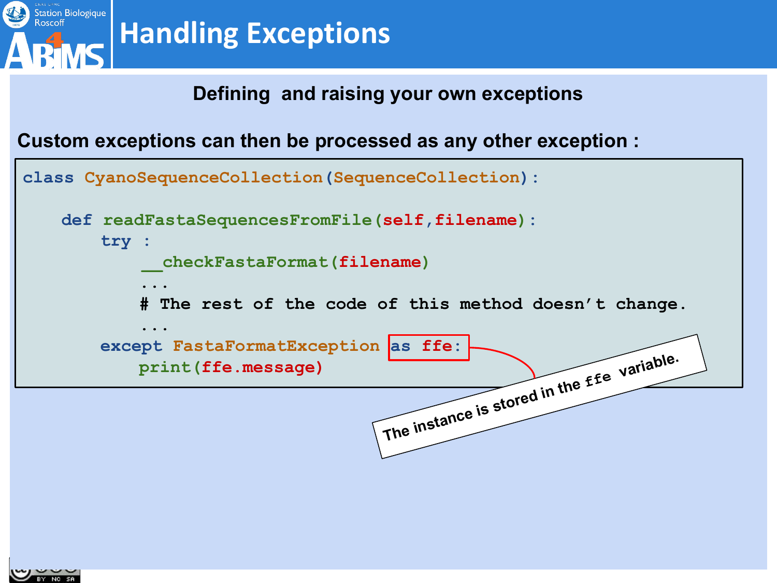

#### **Defining and raising your own exceptions**

**Custom exceptions can then be processed as any other exception :**



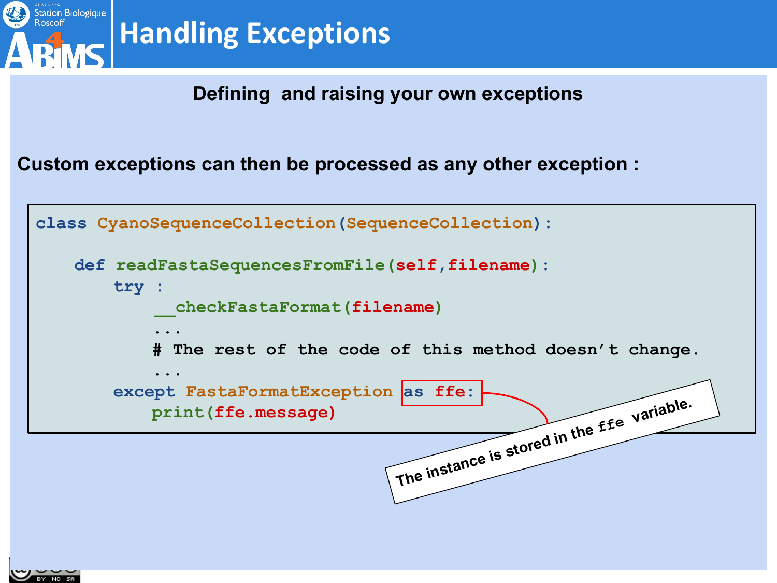

#### **Defining and raising your own exceptions**

**Custom exceptions can then be processed as any other exception :**

**class CyanoSequenceCollection(SequenceCollection): def readFastaSequencesFromFile(self,filename): try : \_\_checkFastaFormat(filename) ... # The rest of the code of this method doesn't change. ... except FastaFormatException as ffe: print(ffe.message)** The instance is stored in the *ffe* variable.

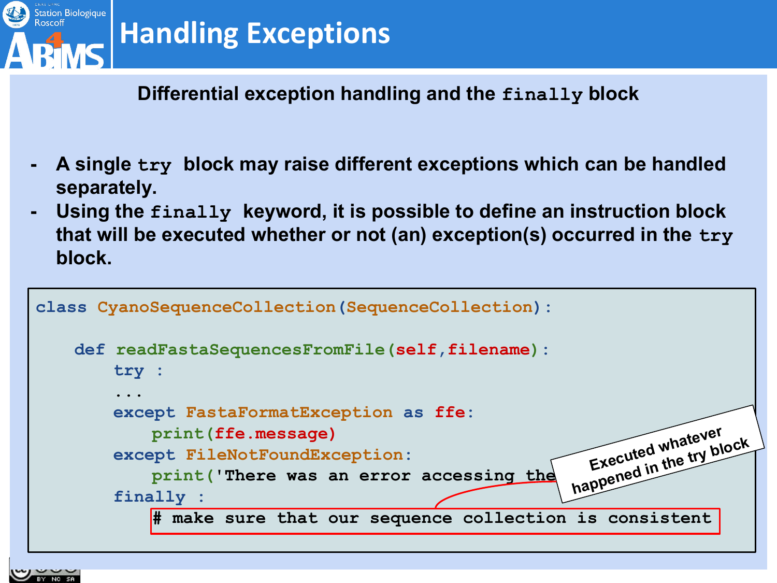

#### **Differential exception handling and the finally block**

- **- A single try block may raise different exceptions which can be handled separately.**
- **- Using the finally keyword, it is possible to define an instruction block that will be executed whether or not (an) exception(s) occurred in the try block.**

```
class CyanoSequenceCollection(SequenceCollection):
   def readFastaSequencesFromFile(self,filename):
       try : 
        ...
       except FastaFormatException as ffe:
           print(ffe.message)
       except FileNotFoundException:
           print('There was an error accessing the
       finally :
           # make sure that our sequence collection is consistent
                                                       Executed whatever 
                                                      happened in the try block
```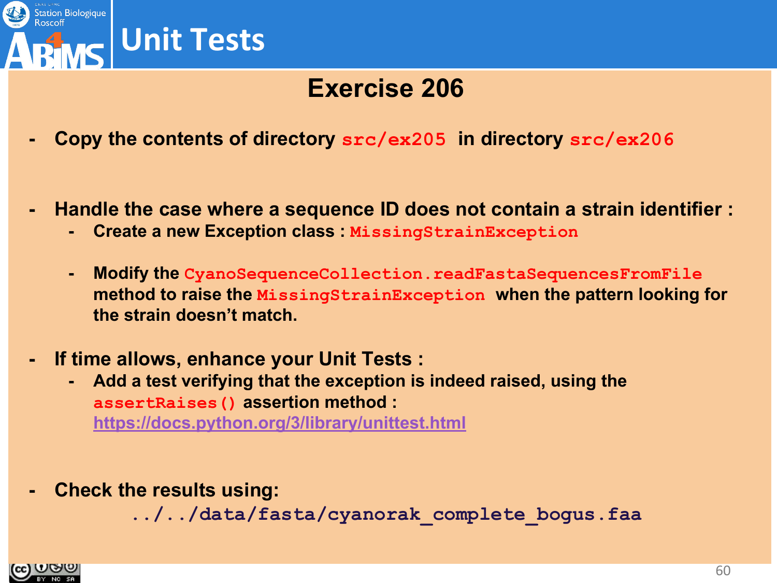

### **Exercise 206**

- **- Copy the contents of directory src/ex205 in directory src/ex206**
- **- Handle the case where a sequence ID does not contain a strain identifier :**
	- **- Create a new Exception class : MissingStrainException**
	- **- Modify the CyanoSequenceCollection.readFastaSequencesFromFile method to raise the MissingStrainException when the pattern looking for the strain doesn't match.**
- **- If time allows, enhance your Unit Tests :**
	- **- Add a test verifying that the exception is indeed raised, using the assertRaises() assertion method :**

**<https://docs.python.org/3/library/unittest.html>**

**- Check the results using:**

**../../data/fasta/cyanorak\_complete\_bogus.faa** 

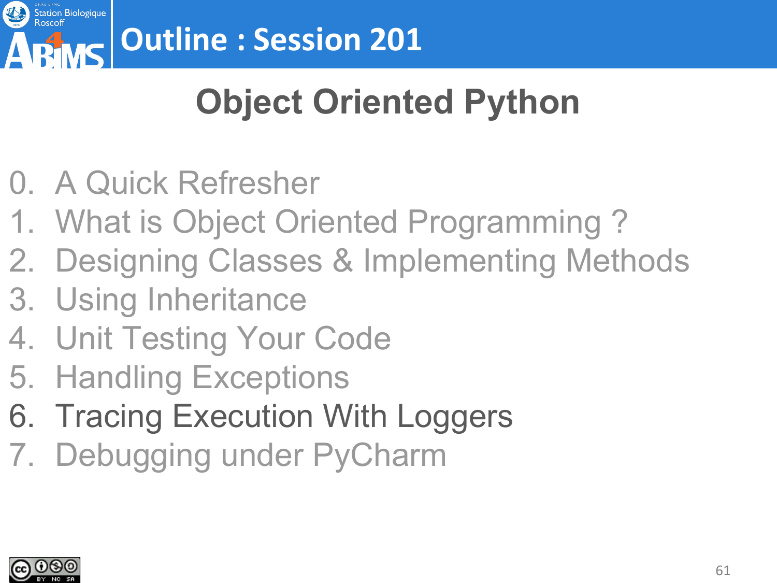

# **Object Oriented Python**

- 0. A Quick Refresher
- 1. What is Object Oriented Programming ?
- 2. Designing Classes & Implementing Methods
- 3. Using Inheritance
- 4. Unit Testing Your Code
- 5. Handling Exceptions
- 6. Tracing Execution With Loggers
- 7. Debugging under PyCharm

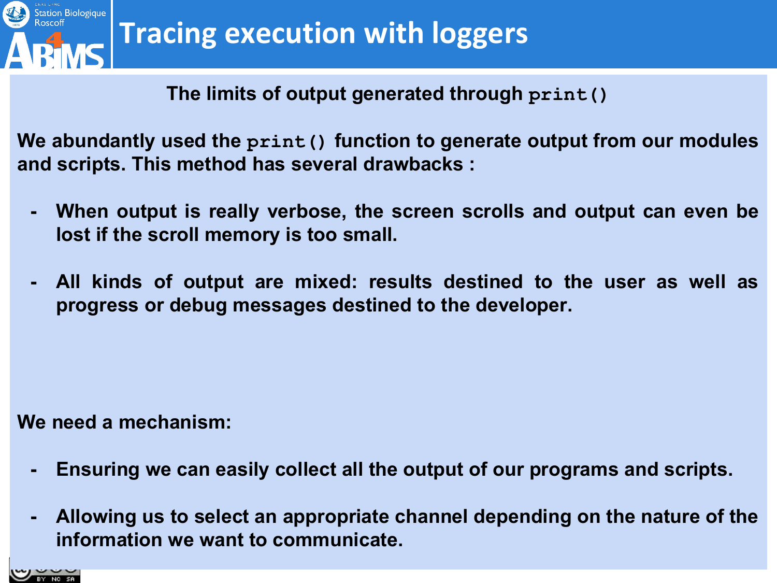

**The limits of output generated through print()**

**We abundantly used the print() function to generate output from our modules and scripts. This method has several drawbacks :**

- **- When output is really verbose, the screen scrolls and output can even be lost if the scroll memory is too small.**
- **- All kinds of output are mixed: results destined to the user as well as progress or debug messages destined to the developer.**

**We need a mechanism:**

- **- Ensuring we can easily collect all the output of our programs and scripts.**
- **- Allowing us to select an appropriate channel depending on the nature of the information we want to communicate.**

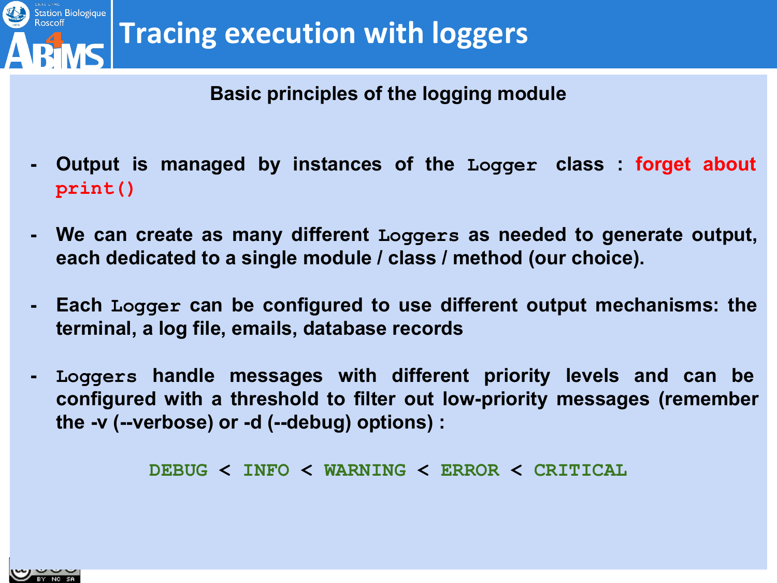

#### **Basic principles of the logging module**

- **- Output is managed by instances of the Logger class : forget about print()**
- **- We can create as many different Loggers as needed to generate output, each dedicated to a single module / class / method (our choice).**
- **- Each Logger can be configured to use different output mechanisms: the terminal, a log file, emails, database records**
- **- Loggers handle messages with different priority levels and can be configured with a threshold to filter out low-priority messages (remember the -v (--verbose) or -d (--debug) options) :**

**DEBUG < INFO < WARNING < ERROR < CRITICAL**

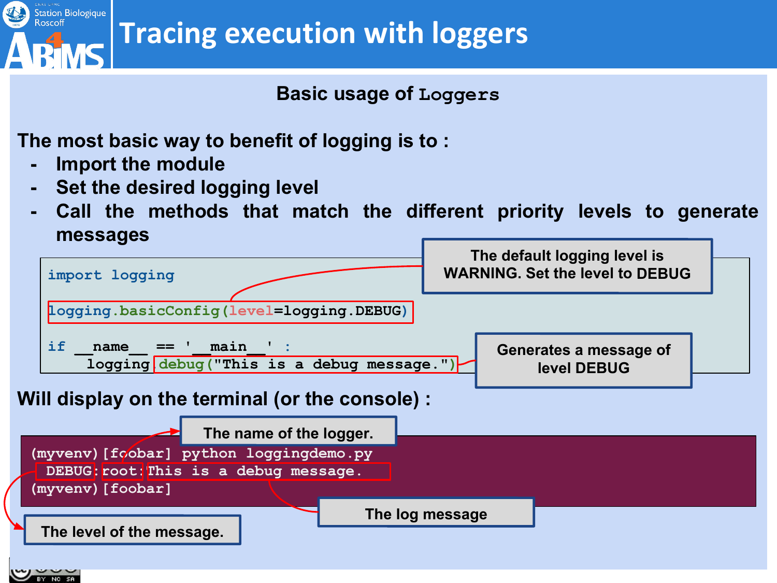

**Tracing execution with loggers**

**Basic usage of Loggers**

**The most basic way to benefit of logging is to :**

- **- Import the module**
- **- Set the desired logging level**
- **- Call the methods that match the different priority levels to generate messages**

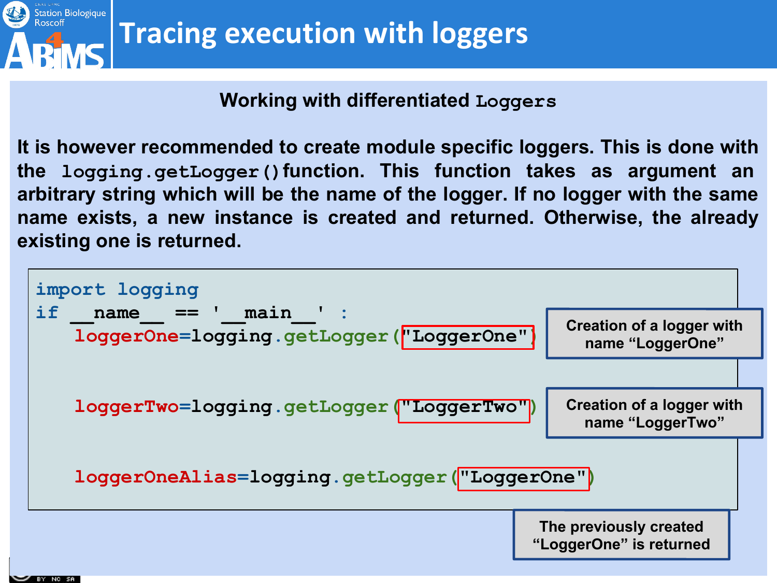

#### **Working with differentiated Loggers**

**It is however recommended to create module specific loggers. This is done with the logging.getLogger()function. This function takes as argument an arbitrary string which will be the name of the logger. If no logger with the same name exists, a new instance is created and returned. Otherwise, the already existing one is returned.**

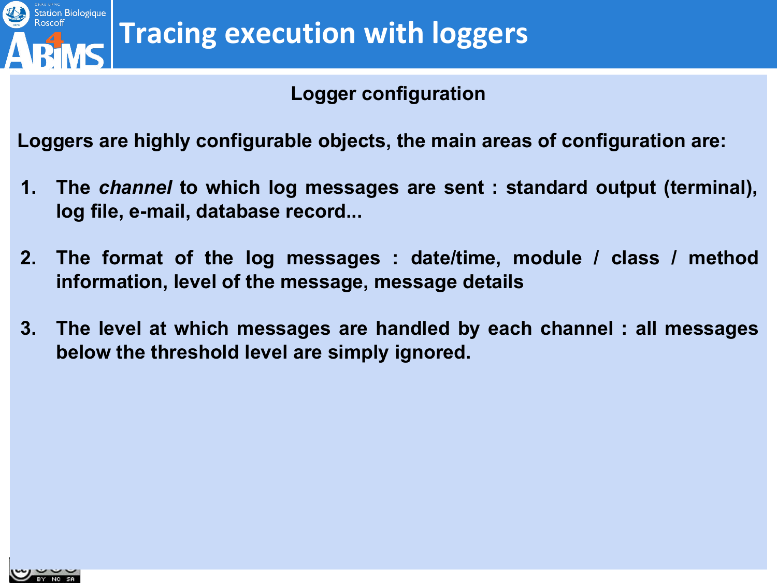

#### **Logger configuration**

**Loggers are highly configurable objects, the main areas of configuration are:**

- **1. The** *channel* **to which log messages are sent : standard output (terminal), log file, e-mail, database record...**
- **2. The format of the log messages : date/time, module / class / method information, level of the message, message details**
- **3. The level at which messages are handled by each channel : all messages below the threshold level are simply ignored.**

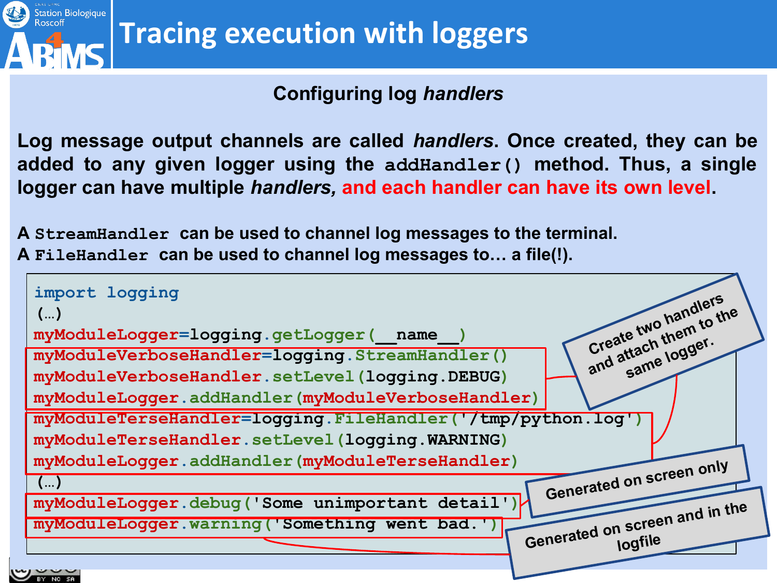

#### **Configuring log** *handlers*

**Log message output channels are called** *handlers***. Once created, they can be added to any given logger using the addHandler() method. Thus, a single logger can have multiple** *handlers,* **and each handler can have its own level.**

**A StreamHandler can be used to channel log messages to the terminal. A FileHandler can be used to channel log messages to… a file(!).**

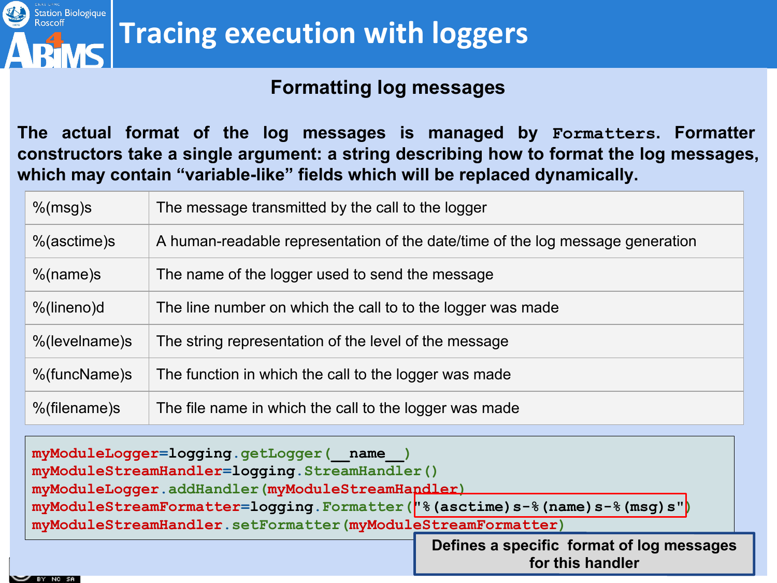

#### **Formatting log messages**

**The actual format of the log messages is managed by Formatters. Formatter constructors take a single argument: a string describing how to format the log messages, which may contain "variable-like" fields which will be replaced dynamically.**

| $%$ (msg)s     | The message transmitted by the call to the logger                              |
|----------------|--------------------------------------------------------------------------------|
| $%$ (asctime)s | A human-readable representation of the date/time of the log message generation |
| $%$ (name)s    | The name of the logger used to send the message                                |
| %(lineno)d     | The line number on which the call to to the logger was made                    |
| %(levelname)s  | The string representation of the level of the message                          |
| %(funcName)s   | The function in which the call to the logger was made                          |
| %(filename)s   | The file name in which the call to the logger was made                         |

**myModuleLogger=logging.getLogger(\_\_name\_\_) myModuleStreamHandler=logging.StreamHandler() myModuleLogger.addHandler(myModuleStreamHandler) myModuleStreamFormatter=logging.Formatter("%(asctime)s-%(name)s-%(msg)s") myModuleStreamHandler.setFormatter(myModuleStreamFormatter) Defines a specific format of log messages** 

**for this handler**

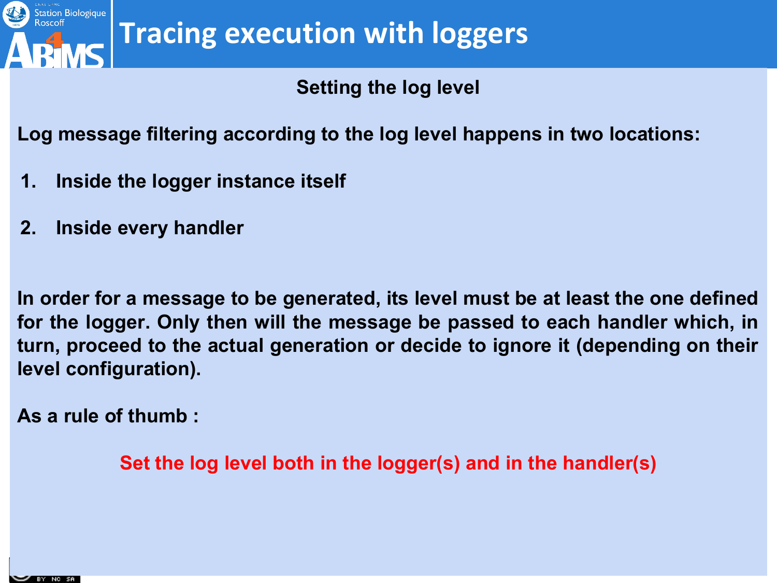

**Setting the log level**

**Log message filtering according to the log level happens in two locations:**

- **1. Inside the logger instance itself**
- **2. Inside every handler**

**In order for a message to be generated, its level must be at least the one defined for the logger. Only then will the message be passed to each handler which, in turn, proceed to the actual generation or decide to ignore it (depending on their level configuration).**

**As a rule of thumb :**

**Set the log level both in the logger(s) and in the handler(s)**

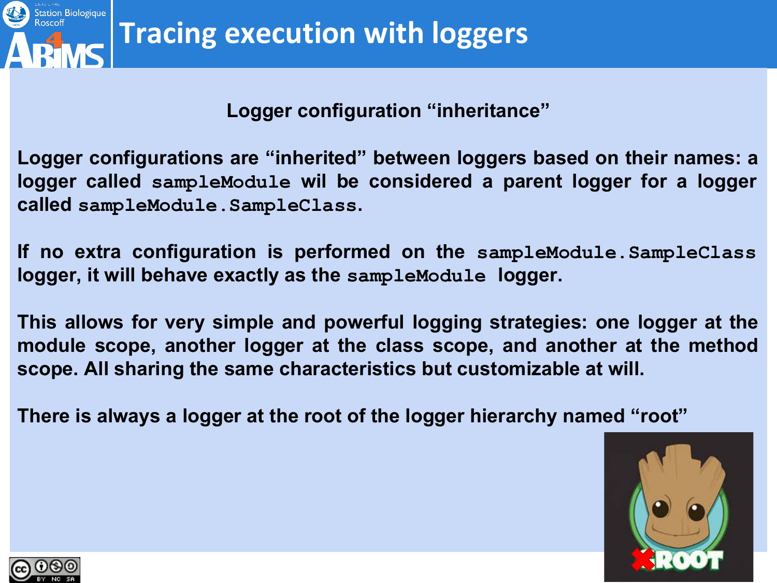

#### **Logger configuration "inheritance"**

**Logger configurations are "inherited" between loggers based on their names: a logger called sampleModule wil be considered a parent logger for a logger called sampleModule.SampleClass.**

**If no extra configuration is performed on the sampleModule.SampleClass logger, it will behave exactly as the sampleModule logger.** 

**This allows for very simple and powerful logging strategies: one logger at the module scope, another logger at the class scope, and another at the method scope. All sharing the same characteristics but customizable at will.**

**There is always a logger at the root of the logger hierarchy named "root"** 



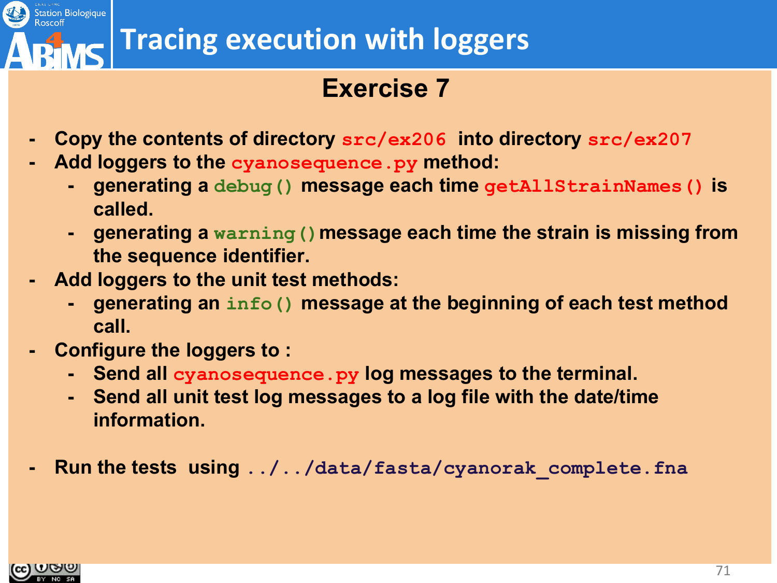

### **Exercise 7**

- **- Copy the contents of directory src/ex206 into directory src/ex207**
- **- Add loggers to the cyanosequence.py method:**
	- **- generating a debug() message each time getAllStrainNames() is called.**
	- **- generating a warning()message each time the strain is missing from the sequence identifier.**
- **- Add loggers to the unit test methods:**
	- **- generating an info() message at the beginning of each test method call.**
- **- Configure the loggers to :**
	- **- Send all cyanosequence.py log messages to the terminal.**
	- **- Send all unit test log messages to a log file with the date/time information.**
- **- Run the tests using ../../data/fasta/cyanorak\_complete.fna**

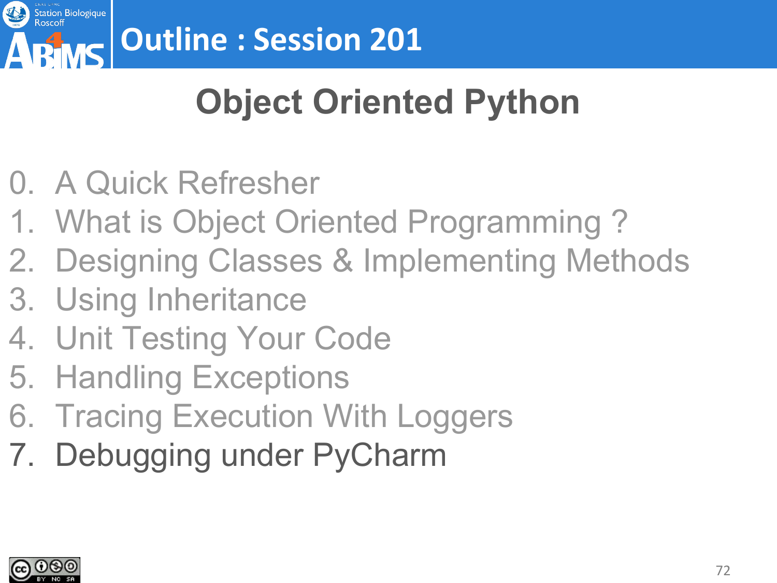

# **Object Oriented Python**

- 0. A Quick Refresher
- 1. What is Object Oriented Programming ?
- 2. Designing Classes & Implementing Methods
- 3. Using Inheritance
- 4. Unit Testing Your Code
- 5. Handling Exceptions
- 6. Tracing Execution With Loggers
- 7. Debugging under PyCharm

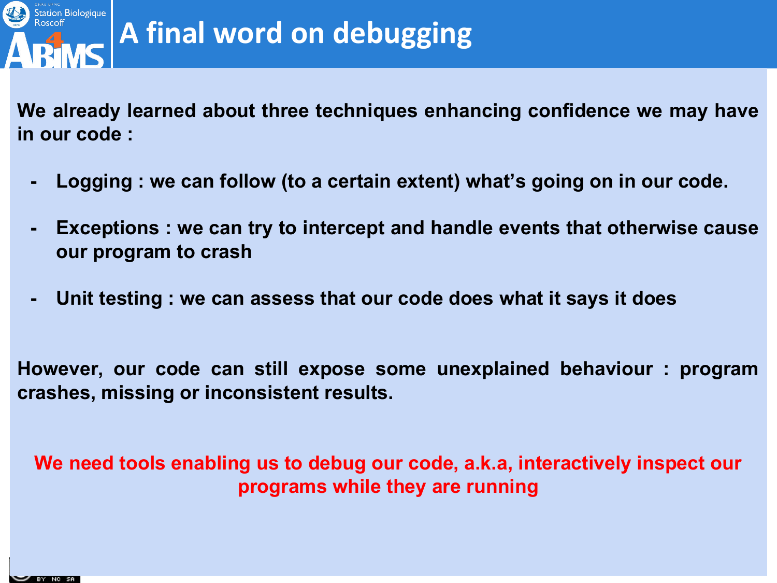

## **A final word on debugging**

**We already learned about three techniques enhancing confidence we may have in our code :**

- **- Logging : we can follow (to a certain extent) what's going on in our code.**
- **- Exceptions : we can try to intercept and handle events that otherwise cause our program to crash**
- **- Unit testing : we can assess that our code does what it says it does**

**However, our code can still expose some unexplained behaviour : program crashes, missing or inconsistent results.**

**We need tools enabling us to debug our code, a.k.a, interactively inspect our programs while they are running**